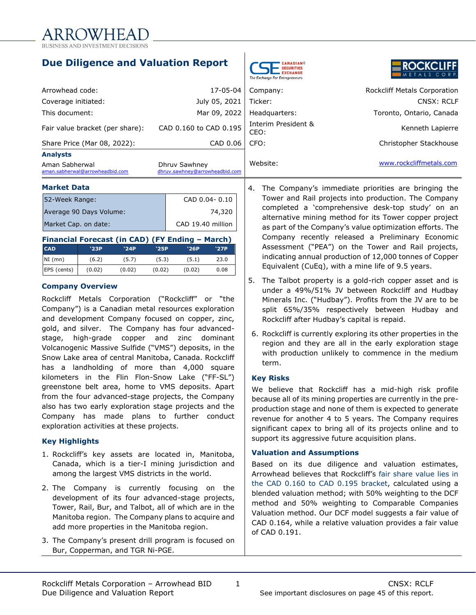**Due Diligence and Valuation Report**



|  |  |       |  | <b>ROCKCLIFF</b> |  |  |
|--|--|-------|--|------------------|--|--|
|  |  |       |  |                  |  |  |
|  |  | 7 I C |  |                  |  |  |

| <b>Market Data</b>                                |                                                 | The Company's               |  |
|---------------------------------------------------|-------------------------------------------------|-----------------------------|--|
| Aman Sabherwal<br>aman.sabherwal@arrowheadbid.com | Dhruv Sawhney<br>dhruv.sawhney@arrowheadbid.com | Website:                    |  |
| <b>Analysts</b>                                   |                                                 |                             |  |
| Share Price (Mar 08, 2022):                       | CAD 0.06                                        | CFO:                        |  |
| Fair value bracket (per share):                   | CAD 0.160 to CAD 0.195                          | Interim President &<br>CEO: |  |
| This document:                                    | Mar 09, 2022                                    | Headquarters:               |  |
| Coverage initiated:                               | July 05, 2021                                   | Ticker:                     |  |
| Arrowhead code:                                   | 17-05-04                                        | Company:                    |  |
|                                                   |                                                 |                             |  |

| Market Data             |               |
|-------------------------|---------------|
| 52-Week Range:          | CAD 0.04-0.10 |
| Average 90 Days Volume: | 74,320        |

| Average 90 Days Volume: | 74,320            |
|-------------------------|-------------------|
| Market Cap. on date:    | CAD 19.40 million |
|                         |                   |

| Financial Forecast (in CAD) (FY Ending - March) |        |        |        |        |      |  |  |  |
|-------------------------------------------------|--------|--------|--------|--------|------|--|--|--|
| <b>CAD</b>                                      | '23P   | '24P   | '25P   | '26P   | '27P |  |  |  |
| $NI$ (mn)                                       | (6.2)  | (5.7)  | (5.3)  | (5.1)  | 23.0 |  |  |  |
| EPS (cents)                                     | (0.02) | (0.02) | (0.02) | (0.02) | 0.08 |  |  |  |

## **Company Overview**

Rockcliff Metals Corporation ("Rockcliff" or "the Company") is a Canadian metal resources exploration and development Company focused on copper, zinc, gold, and silver. The Company has four advancedstage, high-grade copper and zinc dominant Volcanogenic Massive Sulfide ("VMS") deposits, in the Snow Lake area of central Manitoba, Canada. Rockcliff has a landholding of more than 4,000 square kilometers in the Flin Flon-Snow Lake ("FF-SL") greenstone belt area, home to VMS deposits. Apart from the four advanced-stage projects, the Company also has two early exploration stage projects and the Company has made plans to further conduct exploration activities at these projects.

## **Key Highlights**

- 1. Rockcliff's key assets are located in, Manitoba, Canada, which is a tier-I mining jurisdiction and among the largest VMS districts in the world.
- 2. The Company is currently focusing on the development of its four advanced-stage projects, Tower, Rail, Bur, and Talbot, all of which are in the Manitoba region. The Company plans to acquire and add more properties in the Manitoba region.
- 3. The Company's present drill program is focused on Bur, Copperman, and TGR Ni-PGE.

|                                                   |                                                 | The Exchange For Entrepreneurs |                                     |
|---------------------------------------------------|-------------------------------------------------|--------------------------------|-------------------------------------|
| Arrowhead code:                                   | 17-05-04                                        | Company:                       | <b>Rockcliff Metals Corporation</b> |
| Coverage initiated:                               | July 05, 2021                                   | Ticker:                        | CNSX: RCLF                          |
| This document:                                    | Mar 09, 2022                                    | Headquarters:                  | Toronto, Ontario, Canada            |
| Fair value bracket (per share):                   | CAD 0.160 to CAD 0.195                          | Interim President &<br>CEO:    | Kenneth Lapierre                    |
| Share Price (Mar 08, 2022):                       | CAD 0.06                                        | CFO:                           | Christopher Stackhouse              |
| <b>Analysts</b>                                   |                                                 |                                |                                     |
| Aman Sabherwal<br>aman.sabherwal@arrowheadbid.com | Dhruv Sawhney<br>dhruv.sawhney@arrowheadbid.com | Website:                       | www.rockcliffmetals.com             |

- 4. The Company's immediate priorities are bringing the Tower and Rail projects into production. The Company completed a 'comprehensive desk-top study' on an alternative mining method for its Tower copper project as part of the Company's value optimization efforts. The Company recently released a Preliminary Economic Assessment ("PEA") on the Tower and Rail projects, indicating annual production of 12,000 tonnes of Copper Equivalent (CuEq), with a mine life of 9.5 years.
- 5. The Talbot property is a gold-rich copper asset and is under a 49%/51% JV between Rockcliff and Hudbay Minerals Inc. ("Hudbay"). Profits from the JV are to be split 65%/35% respectively between Hudbay and Rockcliff after Hudbay's capital is repaid.
- 6. Rockcliff is currently exploring its other properties in the region and they are all in the early exploration stage with production unlikely to commence in the medium term.

## **Key Risks**

We believe that Rockcliff has a mid-high risk profile because all of its mining properties are currently in the preproduction stage and none of them is expected to generate revenue for another 4 to 5 years. The Company requires significant capex to bring all of its projects online and to support its aggressive future acquisition plans.

## **Valuation and Assumptions**

Based on its due diligence and valuation estimates, Arrowhead believes that Rockcliff's fair share value lies in the CAD 0.160 to CAD 0.195 bracket, calculated using a blended valuation method; with 50% weighting to the DCF method and 50% weighting to Comparable Companies Valuation method. Our DCF model suggests a fair value of CAD 0.164, while a relative valuation provides a fair value of CAD 0.191.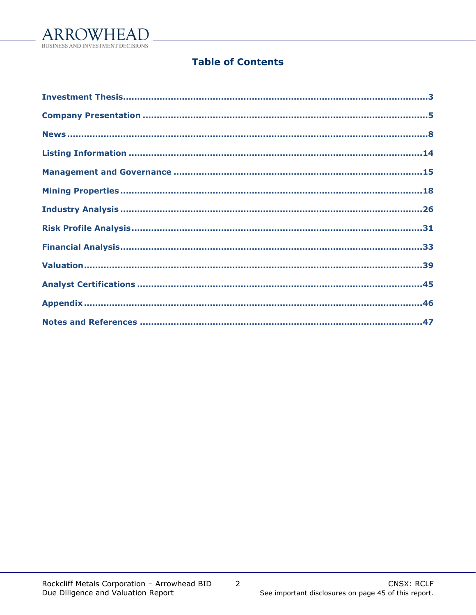

## **Table of Contents**

 $\overline{2}$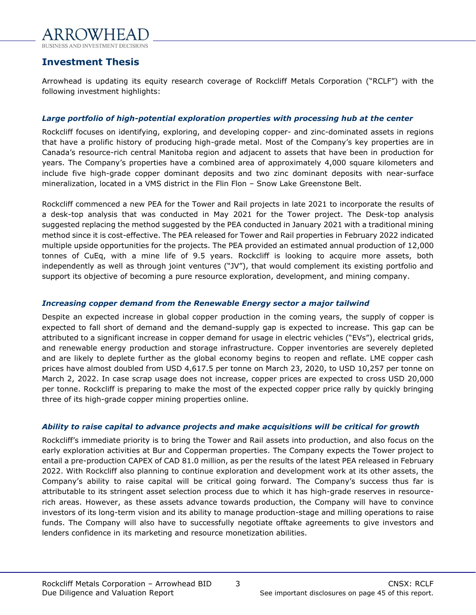

## <span id="page-2-0"></span>**Investment Thesis**

Arrowhead is updating its equity research coverage of Rockcliff Metals Corporation ("RCLF") with the following investment highlights:

## *Large portfolio of high-potential exploration properties with processing hub at the center*

Rockcliff focuses on identifying, exploring, and developing copper- and zinc-dominated assets in regions that have a prolific history of producing high-grade metal. Most of the Company's key properties are in Canada's resource-rich central Manitoba region and adjacent to assets that have been in production for years. The Company's properties have a combined area of approximately 4,000 square kilometers and include five high-grade copper dominant deposits and two zinc dominant deposits with near-surface mineralization, located in a VMS district in the Flin Flon – Snow Lake Greenstone Belt.

Rockcliff commenced a new PEA for the Tower and Rail projects in late 2021 to incorporate the results of a desk-top analysis that was conducted in May 2021 for the Tower project. The Desk-top analysis suggested replacing the method suggested by the PEA conducted in January 2021 with a traditional mining method since it is cost-effective. The PEA released for Tower and Rail properties in February 2022 indicated multiple upside opportunities for the projects. The PEA provided an estimated annual production of 12,000 tonnes of CuEq, with a mine life of 9.5 years. Rockcliff is looking to acquire more assets, both independently as well as through joint ventures ("JV"), that would complement its existing portfolio and support its objective of becoming a pure resource exploration, development, and mining company.

## *Increasing copper demand from the Renewable Energy sector a major tailwind*

Despite an expected increase in global copper production in the coming years, the supply of copper is expected to fall short of demand and the demand-supply gap is expected to increase. This gap can be attributed to a significant increase in copper demand for usage in electric vehicles ("EVs"), electrical grids, and renewable energy production and storage infrastructure. Copper inventories are severely depleted and are likely to deplete further as the global economy begins to reopen and reflate. LME copper cash prices have almost doubled from USD 4,617.5 per tonne on March 23, 2020, to USD 10,257 per tonne on March 2, 2022. In case scrap usage does not increase, copper prices are expected to cross USD 20,000 per tonne. Rockcliff is preparing to make the most of the expected copper price rally by quickly bringing three of its high-grade copper mining properties online.

## *Ability to raise capital to advance projects and make acquisitions will be critical for growth*

Rockcliff's immediate priority is to bring the Tower and Rail assets into production, and also focus on the early exploration activities at Bur and Copperman properties. The Company expects the Tower project to entail a pre-production CAPEX of CAD 81.0 million, as per the results of the latest PEA released in February 2022. With Rockcliff also planning to continue exploration and development work at its other assets, the Company's ability to raise capital will be critical going forward. The Company's success thus far is attributable to its stringent asset selection process due to which it has high-grade reserves in resourcerich areas. However, as these assets advance towards production, the Company will have to convince investors of its long-term vision and its ability to manage production-stage and milling operations to raise funds. The Company will also have to successfully negotiate offtake agreements to give investors and lenders confidence in its marketing and resource monetization abilities.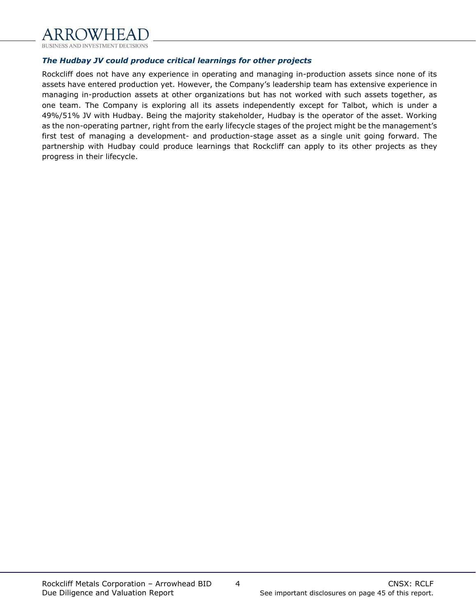

## *The Hudbay JV could produce critical learnings for other projects*

Rockcliff does not have any experience in operating and managing in-production assets since none of its assets have entered production yet. However, the Company's leadership team has extensive experience in managing in-production assets at other organizations but has not worked with such assets together, as one team. The Company is exploring all its assets independently except for Talbot, which is under a 49%/51% JV with Hudbay. Being the majority stakeholder, Hudbay is the operator of the asset. Working as the non-operating partner, right from the early lifecycle stages of the project might be the management's first test of managing a development- and production-stage asset as a single unit going forward. The partnership with Hudbay could produce learnings that Rockcliff can apply to its other projects as they progress in their lifecycle.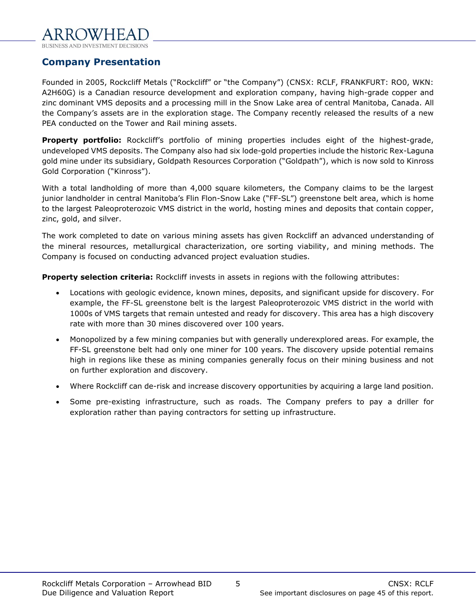

## <span id="page-4-0"></span>**Company Presentation**

Founded in 2005, Rockcliff Metals ("Rockcliff" or "the Company") (CNSX: RCLF, FRANKFURT: RO0, WKN: A2H60G) is a Canadian resource development and exploration company, having high-grade copper and zinc dominant VMS deposits and a processing mill in the Snow Lake area of central Manitoba, Canada. All the Company's assets are in the exploration stage. The Company recently released the results of a new PEA conducted on the Tower and Rail mining assets.

**Property portfolio:** Rockcliff's portfolio of mining properties includes eight of the highest-grade, undeveloped VMS deposits. The Company also had six lode-gold properties include the historic Rex-Laguna gold mine under its subsidiary, Goldpath Resources Corporation ("Goldpath"), which is now sold to Kinross Gold Corporation ("Kinross").

With a total landholding of more than 4,000 square kilometers, the Company claims to be the largest junior landholder in central Manitoba's Flin Flon-Snow Lake ("FF-SL") greenstone belt area, which is home to the largest Paleoproterozoic VMS district in the world, hosting mines and deposits that contain copper, zinc, gold, and silver.

The work completed to date on various mining assets has given Rockcliff an advanced understanding of the mineral resources, metallurgical characterization, ore sorting viability, and mining methods. The Company is focused on conducting advanced project evaluation studies.

**Property selection criteria:** Rockcliff invests in assets in regions with the following attributes:

- Locations with geologic evidence, known mines, deposits, and significant upside for discovery. For example, the FF-SL greenstone belt is the largest Paleoproterozoic VMS district in the world with 1000s of VMS targets that remain untested and ready for discovery. This area has a high discovery rate with more than 30 mines discovered over 100 years.
- Monopolized by a few mining companies but with generally underexplored areas. For example, the FF-SL greenstone belt had only one miner for 100 years. The discovery upside potential remains high in regions like these as mining companies generally focus on their mining business and not on further exploration and discovery.
- Where Rockcliff can de-risk and increase discovery opportunities by acquiring a large land position.
- Some pre-existing infrastructure, such as roads. The Company prefers to pay a driller for exploration rather than paying contractors for setting up infrastructure.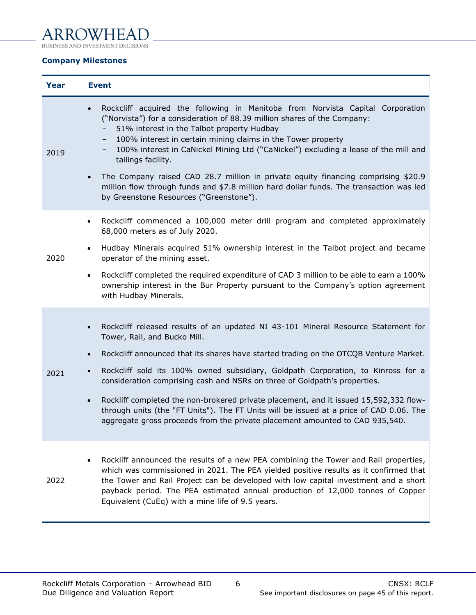#### **ARR**  $\mathsf{F}\hspace{0.01cm}\mathsf{A}$

BUSINESS AND INVESTMENT DECISIONS

## **Company Milestones**

| Year | <b>Event</b>                                                                                                                                                                                                                                                                                                                                                                                                                                                                                                                                                                                                                                                              |
|------|---------------------------------------------------------------------------------------------------------------------------------------------------------------------------------------------------------------------------------------------------------------------------------------------------------------------------------------------------------------------------------------------------------------------------------------------------------------------------------------------------------------------------------------------------------------------------------------------------------------------------------------------------------------------------|
| 2019 | Rockcliff acquired the following in Manitoba from Norvista Capital Corporation<br>$\bullet$<br>("Norvista") for a consideration of 88.39 million shares of the Company:<br>51% interest in the Talbot property Hudbay<br>100% interest in certain mining claims in the Tower property<br>100% interest in CaNickel Mining Ltd ("CaNickel") excluding a lease of the mill and<br>-<br>tailings facility.<br>The Company raised CAD 28.7 million in private equity financing comprising \$20.9<br>million flow through funds and \$7.8 million hard dollar funds. The transaction was led<br>by Greenstone Resources ("Greenstone").                                        |
| 2020 | Rockcliff commenced a 100,000 meter drill program and completed approximately<br>$\bullet$<br>68,000 meters as of July 2020.<br>Hudbay Minerals acquired 51% ownership interest in the Talbot project and became<br>$\bullet$<br>operator of the mining asset.<br>Rockcliff completed the required expenditure of CAD 3 million to be able to earn a 100%<br>$\bullet$<br>ownership interest in the Bur Property pursuant to the Company's option agreement<br>with Hudbay Minerals.                                                                                                                                                                                      |
| 2021 | Rockcliff released results of an updated NI 43-101 Mineral Resource Statement for<br>Tower, Rail, and Bucko Mill.<br>Rockcliff announced that its shares have started trading on the OTCQB Venture Market.<br>$\bullet$<br>Rockcliff sold its 100% owned subsidiary, Goldpath Corporation, to Kinross for a<br>$\bullet$<br>consideration comprising cash and NSRs on three of Goldpath's properties.<br>Rockliff completed the non-brokered private placement, and it issued 15,592,332 flow-<br>through units (the "FT Units"). The FT Units will be issued at a price of CAD 0.06. The<br>aggregate gross proceeds from the private placement amounted to CAD 935,540. |
| 2022 | Rockliff announced the results of a new PEA combining the Tower and Rail properties,<br>$\bullet$<br>which was commissioned in 2021. The PEA yielded positive results as it confirmed that<br>the Tower and Rail Project can be developed with low capital investment and a short<br>payback period. The PEA estimated annual production of 12,000 tonnes of Copper<br>Equivalent (CuEq) with a mine life of 9.5 years.                                                                                                                                                                                                                                                   |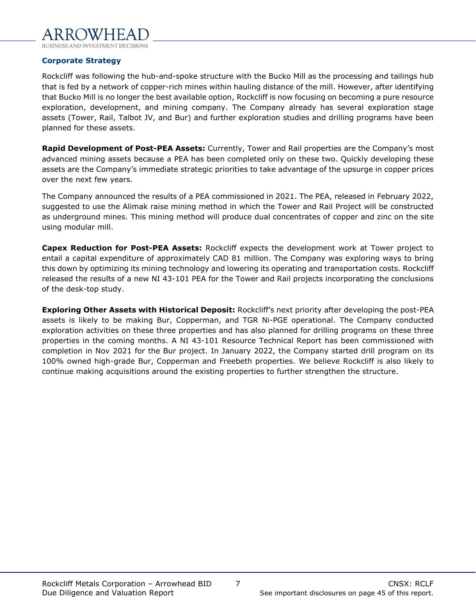

## **Corporate Strategy**

Rockcliff was following the hub-and-spoke structure with the Bucko Mill as the processing and tailings hub that is fed by a network of copper-rich mines within hauling distance of the mill. However, after identifying that Bucko Mill is no longer the best available option, Rockcliff is now focusing on becoming a pure resource exploration, development, and mining company. The Company already has several exploration stage assets (Tower, Rail, Talbot JV, and Bur) and further exploration studies and drilling programs have been planned for these assets.

**Rapid Development of Post-PEA Assets:** Currently, Tower and Rail properties are the Company's most advanced mining assets because a PEA has been completed only on these two. Quickly developing these assets are the Company's immediate strategic priorities to take advantage of the upsurge in copper prices over the next few years.

The Company announced the results of a PEA commissioned in 2021. The PEA, released in February 2022, suggested to use the Alimak raise mining method in which the Tower and Rail Project will be constructed as underground mines. This mining method will produce dual concentrates of copper and zinc on the site using modular mill.

**Capex Reduction for Post-PEA Assets:** Rockcliff expects the development work at Tower project to entail a capital expenditure of approximately CAD 81 million. The Company was exploring ways to bring this down by optimizing its mining technology and lowering its operating and transportation costs. Rockcliff released the results of a new NI 43-101 PEA for the Tower and Rail projects incorporating the conclusions of the desk-top study.

**Exploring Other Assets with Historical Deposit:** Rockcliff's next priority after developing the post-PEA assets is likely to be making Bur, Copperman, and TGR Ni-PGE operational. The Company conducted exploration activities on these three properties and has also planned for drilling programs on these three properties in the coming months. A NI 43-101 Resource Technical Report has been commissioned with completion in Nov 2021 for the Bur project. In January 2022, the Company started drill program on its 100% owned high-grade Bur, Copperman and Freebeth properties. We believe Rockcliff is also likely to continue making acquisitions around the existing properties to further strengthen the structure.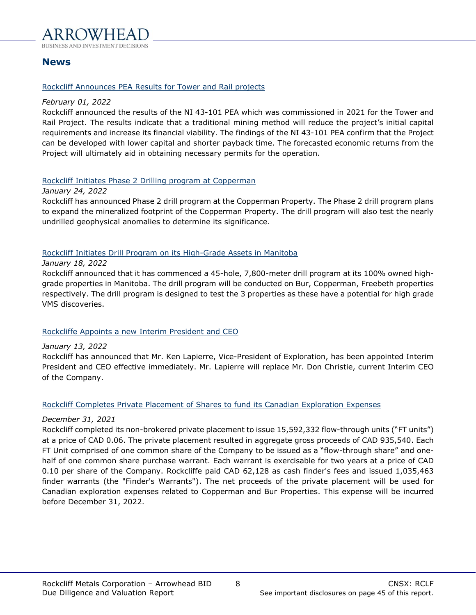

## <span id="page-7-0"></span>**News**

## Rockcliff Announces PEA Results for Tower and Rail projects

### *February 01, 2022*

Rockcliff announced the results of the NI 43-101 PEA which was commissioned in 2021 for the Tower and Rail Project. The results indicate that a traditional mining method will reduce the project's initial capital requirements and increase its financial viability. The findings of the NI 43-101 PEA confirm that the Project can be developed with lower capital and shorter payback time. The forecasted economic returns from the Project will ultimately aid in obtaining necessary permits for the operation.

## Rockcliff Initiates Phase 2 Drilling program at Copperman

#### *January 24, 2022*

Rockcliff has announced Phase 2 drill program at the Copperman Property. The Phase 2 drill program plans to expand the mineralized footprint of the Copperman Property. The drill program will also test the nearly undrilled geophysical anomalies to determine its significance.

## Rockcliff Initiates Drill Program on its High-Grade Assets in Manitoba

## *January 18, 2022*

Rockcliff announced that it has commenced a 45-hole, 7,800-meter drill program at its 100% owned highgrade properties in Manitoba. The drill program will be conducted on Bur, Copperman, Freebeth properties respectively. The drill program is designed to test the 3 properties as these have a potential for high grade VMS discoveries.

## Rockcliffe Appoints a new Interim President and CEO

## *January 13, 2022*

Rockcliff has announced that Mr. Ken Lapierre, Vice-President of Exploration, has been appointed Interim President and CEO effective immediately. Mr. Lapierre will replace Mr. Don Christie, current Interim CEO of the Company.

## Rockcliff Completes Private Placement of Shares to fund its Canadian Exploration Expenses

## *December 31, 2021*

Rockcliff completed its non-brokered private placement to issue 15,592,332 flow-through units ("FT units") at a price of CAD 0.06. The private placement resulted in aggregate gross proceeds of CAD 935,540. Each FT Unit comprised of one common share of the Company to be issued as a "flow-through share" and onehalf of one common share purchase warrant. Each warrant is exercisable for two years at a price of CAD 0.10 per share of the Company. Rockcliffe paid CAD 62,128 as cash finder's fees and issued 1,035,463 finder warrants (the "Finder's Warrants"). The net proceeds of the private placement will be used for Canadian exploration expenses related to Copperman and Bur Properties. This expense will be incurred before December 31, 2022.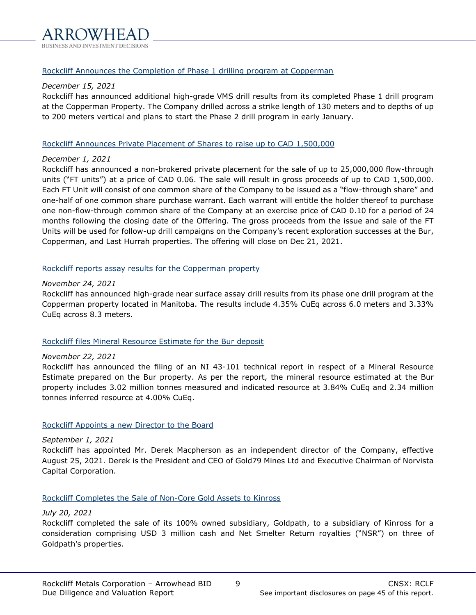

Rockcliff Announces the Completion of Phase 1 drilling program at Copperman

## *December 15, 2021*

Rockcliff has announced additional high-grade VMS drill results from its completed Phase 1 drill program at the Copperman Property. The Company drilled across a strike length of 130 meters and to depths of up to 200 meters vertical and plans to start the Phase 2 drill program in early January.

## Rockcliff Announces Private Placement of Shares to raise up to CAD 1,500,000

## *December 1, 2021*

Rockcliff has announced a non-brokered private placement for the sale of up to 25,000,000 flow-through units ("FT units") at a price of CAD 0.06. The sale will result in gross proceeds of up to CAD 1,500,000. Each FT Unit will consist of one common share of the Company to be issued as a "flow-through share" and one-half of one common share purchase warrant. Each warrant will entitle the holder thereof to purchase one non-flow-through common share of the Company at an exercise price of CAD 0.10 for a period of 24 months following the closing date of the Offering. The gross proceeds from the issue and sale of the FT Units will be used for follow-up drill campaigns on the Company's recent exploration successes at the Bur, Copperman, and Last Hurrah properties. The offering will close on Dec 21, 2021.

## Rockcliff reports assay results for the Copperman property

## *November 24, 2021*

Rockcliff has announced high-grade near surface assay drill results from its phase one drill program at the Copperman property located in Manitoba. The results include 4.35% CuEq across 6.0 meters and 3.33% CuEq across 8.3 meters.

## Rockcliff files Mineral Resource Estimate for the Bur deposit

## *November 22, 2021*

Rockcliff has announced the filing of an NI 43-101 technical report in respect of a Mineral Resource Estimate prepared on the Bur property. As per the report, the mineral resource estimated at the Bur property includes 3.02 million tonnes measured and indicated resource at 3.84% CuEq and 2.34 million tonnes inferred resource at 4.00% CuEq.

## Rockcliff Appoints a new Director to the Board

## *September 1, 2021*

Rockcliff has appointed Mr. Derek Macpherson as an independent director of the Company, effective August 25, 2021. Derek is the President and CEO of Gold79 Mines Ltd and Executive Chairman of Norvista Capital Corporation.

## Rockcliff Completes the Sale of Non-Core Gold Assets to Kinross

## *July 20, 2021*

Rockcliff completed the sale of its 100% owned subsidiary, Goldpath, to a subsidiary of Kinross for a consideration comprising USD 3 million cash and Net Smelter Return royalties ("NSR") on three of Goldpath's properties.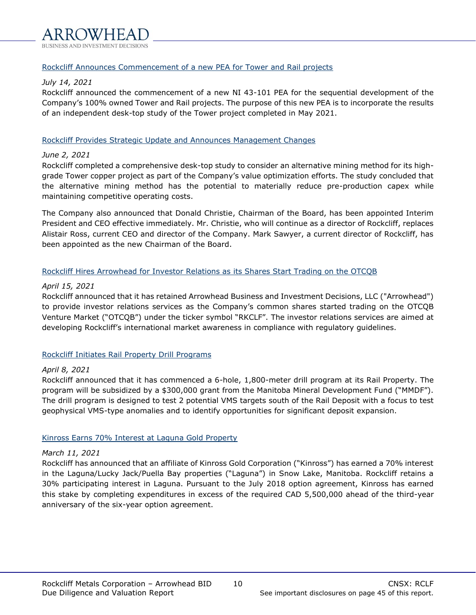## Rockcliff Announces Commencement of a new PEA for Tower and Rail projects

## *July 14, 2021*

Rockcliff announced the commencement of a new NI 43-101 PEA for the sequential development of the Company's 100% owned Tower and Rail projects. The purpose of this new PEA is to incorporate the results of an independent desk-top study of the Tower project completed in May 2021.

## Rockcliff Provides Strategic Update and Announces Management Changes

## *June 2, 2021*

Rockcliff completed a comprehensive desk-top study to consider an alternative mining method for its highgrade Tower copper project as part of the Company's value optimization efforts. The study concluded that the alternative mining method has the potential to materially reduce pre-production capex while maintaining competitive operating costs.

The Company also announced that Donald Christie, Chairman of the Board, has been appointed Interim President and CEO effective immediately. Mr. Christie, who will continue as a director of Rockcliff, replaces Alistair Ross, current CEO and director of the Company. Mark Sawyer, a current director of Rockcliff, has been appointed as the new Chairman of the Board.

## Rockcliff Hires Arrowhead for Investor Relations as its Shares Start Trading on the OTCQB

## *April 15, 2021*

Rockcliff announced that it has retained Arrowhead Business and Investment Decisions, LLC ("Arrowhead") to provide investor relations services as the Company's common shares started trading on the OTCQB Venture Market ("OTCQB") under the ticker symbol "RKCLF". The investor relations services are aimed at developing Rockcliff's international market awareness in compliance with regulatory guidelines.

## Rockcliff Initiates Rail Property Drill Programs

## *April 8, 2021*

Rockcliff announced that it has commenced a 6-hole, 1,800-meter drill program at its Rail Property. The program will be subsidized by a \$300,000 grant from the Manitoba Mineral Development Fund ("MMDF"). The drill program is designed to test 2 potential VMS targets south of the Rail Deposit with a focus to test geophysical VMS-type anomalies and to identify opportunities for significant deposit expansion.

## Kinross Earns 70% Interest at Laguna Gold Property

## *March 11, 2021*

Rockcliff has announced that an affiliate of Kinross Gold Corporation ("Kinross") has earned a 70% interest in the Laguna/Lucky Jack/Puella Bay properties ("Laguna") in Snow Lake, Manitoba. Rockcliff retains a 30% participating interest in Laguna. Pursuant to the July 2018 option agreement, Kinross has earned this stake by completing expenditures in excess of the required CAD 5,500,000 ahead of the third-year anniversary of the six-year option agreement.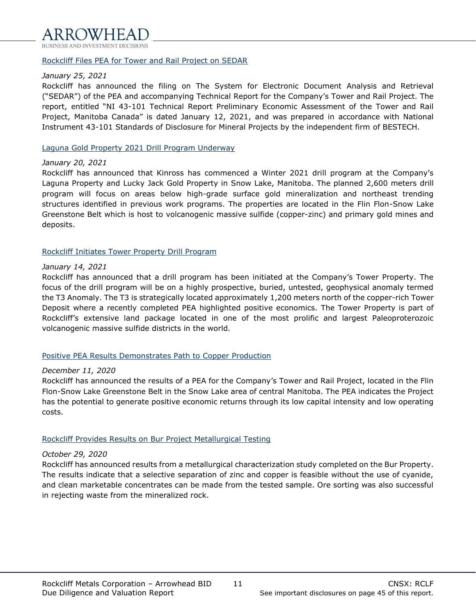## Rockcliff Files PEA for Tower and Rail Project on SEDAR

## *January 25, 2021*

Rockcliff has announced the filing on The System for Electronic Document Analysis and Retrieval ("SEDAR") of the PEA and accompanying Technical Report for the Company's Tower and Rail Project. The report, entitled "NI 43-101 Technical Report Preliminary Economic Assessment of the Tower and Rail Project, Manitoba Canada" is dated January 12, 2021, and was prepared in accordance with National Instrument 43-101 Standards of Disclosure for Mineral Projects by the independent firm of BESTECH.

### Laguna Gold Property 2021 Drill Program Underway

#### *January 20, 2021*

Rockcliff has announced that Kinross has commenced a Winter 2021 drill program at the Company's Laguna Property and Lucky Jack Gold Property in Snow Lake, Manitoba. The planned 2,600 meters drill program will focus on areas below high-grade surface gold mineralization and northeast trending structures identified in previous work programs. The properties are located in the Flin Flon-Snow Lake Greenstone Belt which is host to volcanogenic massive sulfide (copper-zinc) and primary gold mines and deposits.

## Rockcliff Initiates Tower Property Drill Program

## *January 14, 2021*

Rockcliff has announced that a drill program has been initiated at the Company's Tower Property. The focus of the drill program will be on a highly prospective, buried, untested, geophysical anomaly termed the T3 Anomaly. The T3 is strategically located approximately 1,200 meters north of the copper-rich Tower Deposit where a recently completed PEA highlighted positive economics. The Tower Property is part of Rockcliff's extensive land package located in one of the most prolific and largest Paleoproterozoic volcanogenic massive sulfide districts in the world.

## Positive PEA Results Demonstrates Path to Copper Production

## *December 11, 2020*

Rockcliff has announced the results of a PEA for the Company's Tower and Rail Project, located in the Flin Flon-Snow Lake Greenstone Belt in the Snow Lake area of central Manitoba. The PEA indicates the Project has the potential to generate positive economic returns through its low capital intensity and low operating costs.

## Rockcliff Provides Results on Bur Project Metallurgical Testing

## *October 29, 2020*

Rockcliff has announced results from a metallurgical characterization study completed on the Bur Property. The results indicate that a selective separation of zinc and copper is feasible without the use of cyanide, and clean marketable concentrates can be made from the tested sample. Ore sorting was also successful in rejecting waste from the mineralized rock.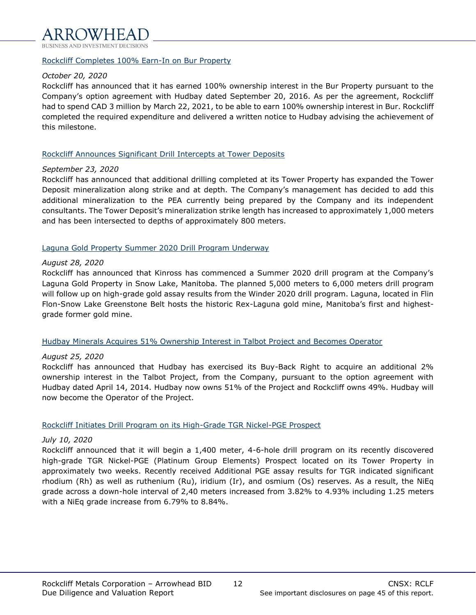

#### Rockcliff Completes 100% Earn-In on Bur Property

### *October 20, 2020*

Rockcliff has announced that it has earned 100% ownership interest in the Bur Property pursuant to the Company's option agreement with Hudbay dated September 20, 2016. As per the agreement, Rockcliff had to spend CAD 3 million by March 22, 2021, to be able to earn 100% ownership interest in Bur. Rockcliff completed the required expenditure and delivered a written notice to Hudbay advising the achievement of this milestone.

#### Rockcliff Announces Significant Drill Intercepts at Tower Deposits

#### *September 23, 2020*

Rockcliff has announced that additional drilling completed at its Tower Property has expanded the Tower Deposit mineralization along strike and at depth. The Company's management has decided to add this additional mineralization to the PEA currently being prepared by the Company and its independent consultants. The Tower Deposit's mineralization strike length has increased to approximately 1,000 meters and has been intersected to depths of approximately 800 meters.

## Laguna Gold Property Summer 2020 Drill Program Underway

#### *August 28, 2020*

Rockcliff has announced that Kinross has commenced a Summer 2020 drill program at the Company's Laguna Gold Property in Snow Lake, Manitoba. The planned 5,000 meters to 6,000 meters drill program will follow up on high-grade gold assay results from the Winder 2020 drill program. Laguna, located in Flin Flon-Snow Lake Greenstone Belt hosts the historic Rex-Laguna gold mine, Manitoba's first and highestgrade former gold mine.

## Hudbay Minerals Acquires 51% Ownership Interest in Talbot Project and Becomes Operator

## *August 25, 2020*

Rockcliff has announced that Hudbay has exercised its Buy-Back Right to acquire an additional 2% ownership interest in the Talbot Project, from the Company, pursuant to the option agreement with Hudbay dated April 14, 2014. Hudbay now owns 51% of the Project and Rockcliff owns 49%. Hudbay will now become the Operator of the Project.

## Rockcliff Initiates Drill Program on its High-Grade TGR Nickel-PGE Prospect

## *July 10, 2020*

Rockcliff announced that it will begin a 1,400 meter, 4-6-hole drill program on its recently discovered high-grade TGR Nickel-PGE (Platinum Group Elements) Prospect located on its Tower Property in approximately two weeks. Recently received Additional PGE assay results for TGR indicated significant rhodium (Rh) as well as ruthenium (Ru), iridium (Ir), and osmium (Os) reserves. As a result, the NiEq grade across a down-hole interval of 2,40 meters increased from 3.82% to 4.93% including 1.25 meters with a NiEq grade increase from 6.79% to 8.84%.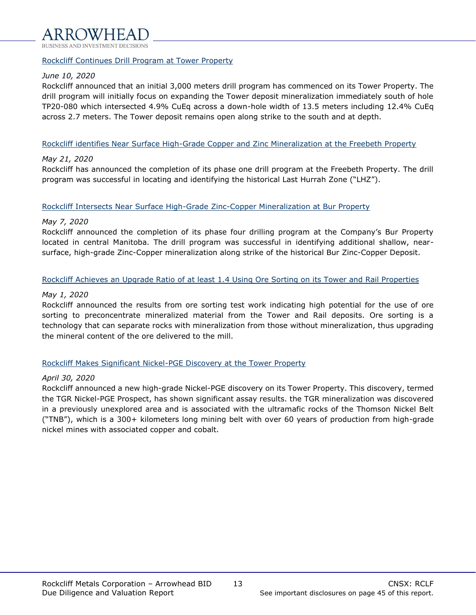## Rockcliff Continues Drill Program at Tower Property

## *June 10, 2020*

Rockcliff announced that an initial 3,000 meters drill program has commenced on its Tower Property. The drill program will initially focus on expanding the Tower deposit mineralization immediately south of hole TP20-080 which intersected 4.9% CuEq across a down-hole width of 13.5 meters including 12.4% CuEq across 2.7 meters. The Tower deposit remains open along strike to the south and at depth.

## Rockcliff identifies Near Surface High-Grade Copper and Zinc Mineralization at the Freebeth Property

## *May 21, 2020*

Rockcliff has announced the completion of its phase one drill program at the Freebeth Property. The drill program was successful in locating and identifying the historical Last Hurrah Zone ("LHZ").

## Rockcliff Intersects Near Surface High-Grade Zinc-Copper Mineralization at Bur Property

## *May 7, 2020*

Rockcliff announced the completion of its phase four drilling program at the Company's Bur Property located in central Manitoba. The drill program was successful in identifying additional shallow, nearsurface, high-grade Zinc-Copper mineralization along strike of the historical Bur Zinc-Copper Deposit.

## Rockcliff Achieves an Upgrade Ratio of at least 1.4 Using Ore Sorting on its Tower and Rail Properties

## *May 1, 2020*

Rockcliff announced the results from ore sorting test work indicating high potential for the use of ore sorting to preconcentrate mineralized material from the Tower and Rail deposits. Ore sorting is a technology that can separate rocks with mineralization from those without mineralization, thus upgrading the mineral content of the ore delivered to the mill.

## Rockcliff Makes Significant Nickel-PGE Discovery at the Tower Property

## *April 30, 2020*

Rockcliff announced a new high-grade Nickel-PGE discovery on its Tower Property. This discovery, termed the TGR Nickel-PGE Prospect, has shown significant assay results. the TGR mineralization was discovered in a previously unexplored area and is associated with the ultramafic rocks of the Thomson Nickel Belt ("TNB"), which is a 300+ kilometers long mining belt with over 60 years of production from high-grade nickel mines with associated copper and cobalt.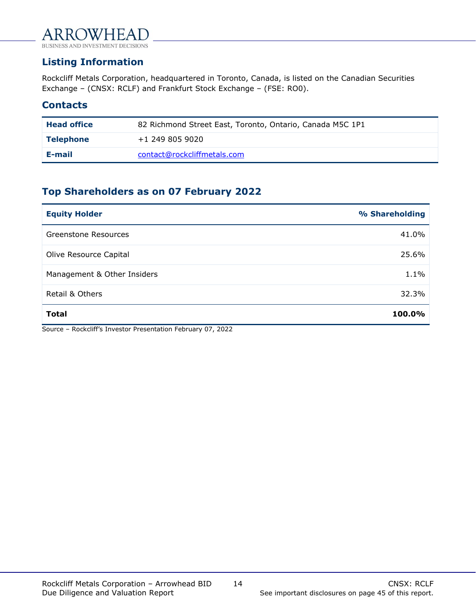## WHFA ΑR

**BUSINESS AND II SIONS** 

## <span id="page-13-0"></span>**Listing Information**

Rockcliff Metals Corporation, headquartered in Toronto, Canada, is listed on the Canadian Securities Exchange – (CNSX: RCLF) and Frankfurt Stock Exchange – (FSE: RO0).

## **Contacts**

| <b>Head office</b> | 82 Richmond Street East, Toronto, Ontario, Canada M5C 1P1 |
|--------------------|-----------------------------------------------------------|
| <b>Telephone</b>   | $+1$ 249 805 9020                                         |
| E-mail             | contact@rockcliffmetals.com                               |

## **Top Shareholders as on 07 February 2022**

| <b>Equity Holder</b>        | % Shareholding |
|-----------------------------|----------------|
| Greenstone Resources        | 41.0%          |
| Olive Resource Capital      | 25.6%          |
| Management & Other Insiders | 1.1%           |
| Retail & Others             | 32.3%          |
| <b>Total</b>                | 100.0%         |

Source – Rockcliff's Investor Presentation February 07, 2022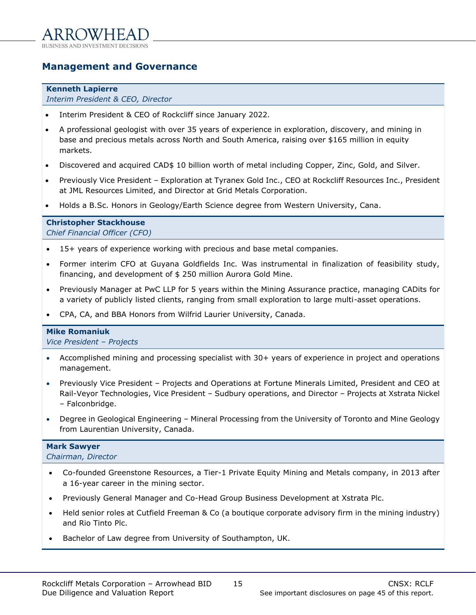## <span id="page-14-0"></span>**Management and Governance**

#### **Kenneth Lapierre**

*Interim President & CEO, Director*

- Interim President & CEO of Rockcliff since January 2022.
- A professional geologist with over 35 years of experience in exploration, discovery, and mining in base and precious metals across North and South America, raising over \$165 million in equity markets.
- Discovered and acquired CAD\$ 10 billion worth of metal including Copper, Zinc, Gold, and Silver.
- Previously Vice President Exploration at Tyranex Gold Inc., CEO at Rockcliff Resources Inc., President at JML Resources Limited, and Director at Grid Metals Corporation.
- Holds a B.Sc. Honors in Geology/Earth Science degree from Western University, Cana.

## **Christopher Stackhouse**

*Chief Financial Officer (CFO)*

- 15+ years of experience working with precious and base metal companies.
- Former interim CFO at Guyana Goldfields Inc. Was instrumental in finalization of feasibility study, financing, and development of \$ 250 million Aurora Gold Mine.
- Previously Manager at PwC LLP for 5 years within the Mining Assurance practice, managing CADits for a variety of publicly listed clients, ranging from small exploration to large multi-asset operations.
- CPA, CA, and BBA Honors from Wilfrid Laurier University, Canada.

## **Mike Romaniuk**

*Vice President – Projects*

- Accomplished mining and processing specialist with 30+ years of experience in project and operations management.
- Previously Vice President Projects and Operations at Fortune Minerals Limited, President and CEO at Rail-Veyor Technologies, Vice President – Sudbury operations, and Director – Projects at Xstrata Nickel – Falconbridge.
- Degree in Geological Engineering Mineral Processing from the University of Toronto and Mine Geology from Laurentian University, Canada.

## **Mark Sawyer**

*Chairman, Director*

- Co-founded Greenstone Resources, a Tier-1 Private Equity Mining and Metals company, in 2013 after a 16-year career in the mining sector.
- Previously General Manager and Co-Head Group Business Development at Xstrata Plc.
- Held senior roles at Cutfield Freeman & Co (a boutique corporate advisory firm in the mining industry) and Rio Tinto Plc.
- Bachelor of Law degree from University of Southampton, UK.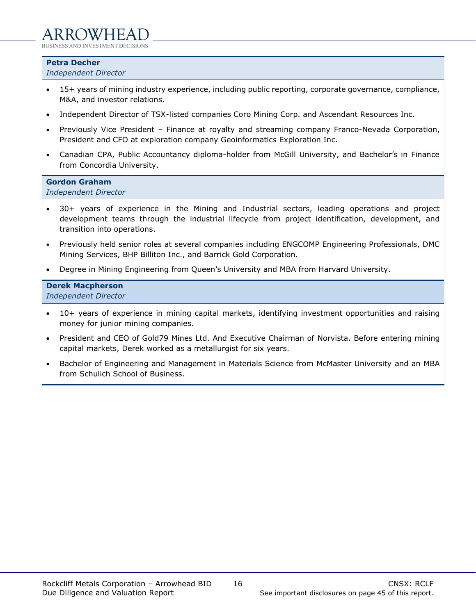**Petra Decher**

*Independent Director*

- 15+ years of mining industry experience, including public reporting, corporate governance, compliance, M&A, and investor relations.
- Independent Director of TSX-listed companies Coro Mining Corp. and Ascendant Resources Inc.
- Previously Vice President Finance at royalty and streaming company Franco-Nevada Corporation, President and CFO at exploration company Geoinformatics Exploration Inc.
- Canadian CPA, Public Accountancy diploma-holder from McGill University, and Bachelor's in Finance from Concordia University.

## **Gordon Graham**

*Independent Director*

- 30+ years of experience in the Mining and Industrial sectors, leading operations and project development teams through the industrial lifecycle from project identification, development, and transition into operations.
- Previously held senior roles at several companies including ENGCOMP Engineering Professionals, DMC Mining Services, BHP Billiton Inc., and Barrick Gold Corporation.
- Degree in Mining Engineering from Queen's University and MBA from Harvard University.

## **Derek Macpherson**

*Independent Director*

- 10+ years of experience in mining capital markets, identifying investment opportunities and raising money for junior mining companies.
- President and CEO of Gold79 Mines Ltd. And Executive Chairman of Norvista. Before entering mining capital markets, Derek worked as a metallurgist for six years.
- Bachelor of Engineering and Management in Materials Science from McMaster University and an MBA from Schulich School of Business.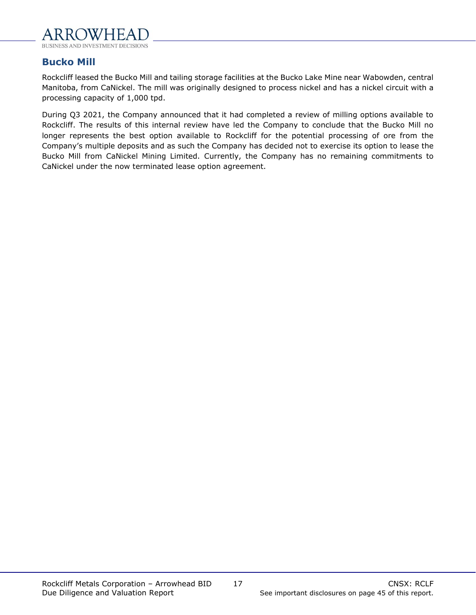

## **Bucko Mill**

Rockcliff leased the Bucko Mill and tailing storage facilities at the Bucko Lake Mine near Wabowden, central Manitoba, from CaNickel. The mill was originally designed to process nickel and has a nickel circuit with a processing capacity of 1,000 tpd.

During Q3 2021, the Company announced that it had completed a review of milling options available to Rockcliff. The results of this internal review have led the Company to conclude that the Bucko Mill no longer represents the best option available to Rockcliff for the potential processing of ore from the Company's multiple deposits and as such the Company has decided not to exercise its option to lease the Bucko Mill from CaNickel Mining Limited. Currently, the Company has no remaining commitments to CaNickel under the now terminated lease option agreement.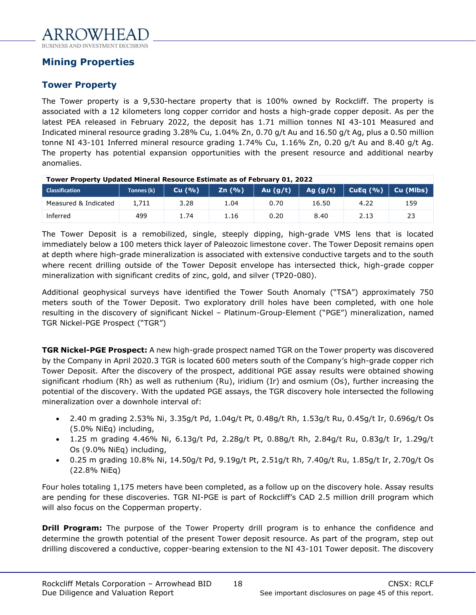## <span id="page-17-0"></span>**Mining Properties**

## **Tower Property**

The Tower property is a 9,530-hectare property that is 100% owned by Rockcliff. The property is associated with a 12 kilometers long copper corridor and hosts a high-grade copper deposit. As per the latest PEA released in February 2022, the deposit has 1.71 million tonnes NI 43-101 Measured and Indicated mineral resource grading 3.28% Cu, 1.04% Zn, 0.70 g/t Au and 16.50 g/t Ag, plus a 0.50 million tonne NI 43-101 Inferred mineral resource grading 1.74% Cu, 1.16% Zn, 0.20 g/t Au and 8.40 g/t Ag. The property has potential expansion opportunities with the present resource and additional nearby anomalies.

**Tower Property Updated Mineral Resource Estimate as of February 01, 2022**

| <b>Classification</b> | Tonnes (k) | Cu(%) | Zn(%) | Au (g/t) | Ag (g/t) | CuEq $(% )$ | Cu (Mlbs) |
|-----------------------|------------|-------|-------|----------|----------|-------------|-----------|
| Measured & Indicated  | 1,711      | 3.28  | 1.04  | Ა.70     | 16.50    | 4.22        | 159       |
| Interred              | 499        | 1.74  | 1.16  | 0.20     | 8.40     | 2.IJ        | 53<br>23  |

The Tower Deposit is a remobilized, single, steeply dipping, high-grade VMS lens that is located immediately below a 100 meters thick layer of Paleozoic limestone cover. The Tower Deposit remains open at depth where high-grade mineralization is associated with extensive conductive targets and to the south where recent drilling outside of the Tower Deposit envelope has intersected thick, high-grade copper mineralization with significant credits of zinc, gold, and silver (TP20-080).

Additional geophysical surveys have identified the Tower South Anomaly ("TSA") approximately 750 meters south of the Tower Deposit. Two exploratory drill holes have been completed, with one hole resulting in the discovery of significant Nickel – Platinum-Group-Element ("PGE") mineralization, named TGR Nickel-PGE Prospect ("TGR")

**TGR Nickel-PGE Prospect:** A new high-grade prospect named TGR on the Tower property was discovered by the Company in April 2020.3 TGR is located 600 meters south of the Company's high-grade copper rich Tower Deposit. After the discovery of the prospect, additional PGE assay results were obtained showing significant rhodium (Rh) as well as ruthenium (Ru), iridium (Ir) and osmium (Os), further increasing the potential of the discovery. With the updated PGE assays, the TGR discovery hole intersected the following mineralization over a downhole interval of:

- 2.40 m grading 2.53% Ni, 3.35g/t Pd, 1.04g/t Pt, 0.48g/t Rh, 1.53g/t Ru, 0.45g/t Ir, 0.696g/t Os (5.0% NiEq) including,
- 1.25 m grading 4.46% Ni, 6.13g/t Pd, 2.28g/t Pt, 0.88g/t Rh, 2.84g/t Ru, 0.83g/t Ir, 1.29g/t Os (9.0% NiEq) including,
- 0.25 m grading 10.8% Ni, 14.50g/t Pd, 9.19g/t Pt, 2.51g/t Rh, 7.40g/t Ru, 1.85g/t Ir, 2.70g/t Os (22.8% NiEq)

Four holes totaling 1,175 meters have been completed, as a follow up on the discovery hole. Assay results are pending for these discoveries. TGR NI-PGE is part of Rockcliff's CAD 2.5 million drill program which will also focus on the Copperman property.

**Drill Program:** The purpose of the Tower Property drill program is to enhance the confidence and determine the growth potential of the present Tower deposit resource. As part of the program, step out drilling discovered a conductive, copper-bearing extension to the NI 43-101 Tower deposit. The discovery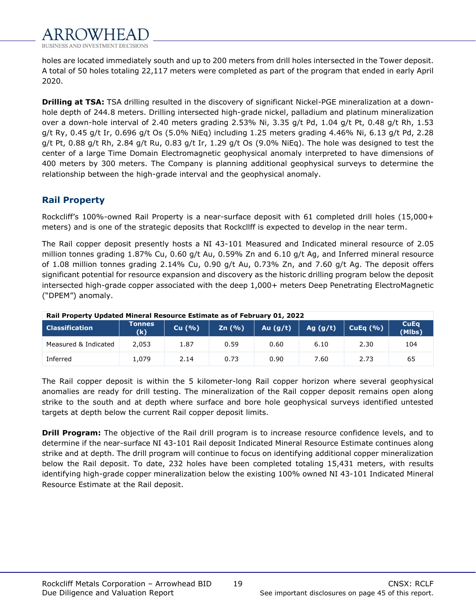

holes are located immediately south and up to 200 meters from drill holes intersected in the Tower deposit. A total of 50 holes totaling 22,117 meters were completed as part of the program that ended in early April 2020.

**Drilling at TSA:** TSA drilling resulted in the discovery of significant Nickel-PGE mineralization at a downhole depth of 244.8 meters. Drilling intersected high-grade nickel, palladium and platinum mineralization over a down-hole interval of 2.40 meters grading 2.53% Ni, 3.35 g/t Pd, 1.04 g/t Pt, 0.48 g/t Rh, 1.53 g/t Ry, 0.45 g/t Ir, 0.696 g/t Os (5.0% NiEq) including 1.25 meters grading 4.46% Ni, 6.13 g/t Pd, 2.28 g/t Pt, 0.88 g/t Rh, 2.84 g/t Ru, 0.83 g/t Ir, 1.29 g/t Os (9.0% NiEg). The hole was designed to test the center of a large Time Domain Electromagnetic geophysical anomaly interpreted to have dimensions of 400 meters by 300 meters. The Company is planning additional geophysical surveys to determine the relationship between the high-grade interval and the geophysical anomaly.

## **Rail Property**

Rockcliff's 100%-owned Rail Property is a near-surface deposit with 61 completed drill holes (15,000+ meters) and is one of the strategic deposits that Rockcllff is expected to develop in the near term.

The Rail copper deposit presently hosts a NI 43-101 Measured and Indicated mineral resource of 2.05 million tonnes grading 1.87% Cu, 0.60 g/t Au, 0.59% Zn and 6.10 g/t Ag, and Inferred mineral resource of 1.08 million tonnes grading 2.14% Cu, 0.90 g/t Au, 0.73% Zn, and 7.60 g/t Ag. The deposit offers significant potential for resource expansion and discovery as the historic drilling program below the deposit intersected high-grade copper associated with the deep 1,000+ meters Deep Penetrating ElectroMagnetic ("DPEM") anomaly.

| Rail Property Updated Mineral Resource Estimate as of February 01, 2022 |               |       |       |            |            |             |                       |  |
|-------------------------------------------------------------------------|---------------|-------|-------|------------|------------|-------------|-----------------------|--|
| <b>Classification</b>                                                   | Tonnes<br>(k) | Cu(%) | Zn(%) | Au $(g/t)$ | Ag $(g/t)$ | CuEa $(% )$ | <b>CuEa</b><br>(Mlbs) |  |
| Measured & Indicated                                                    | 2.053         | 1.87  | 0.59  | 0.60       | 6.10       | 2.30        | 104                   |  |
| Inferred                                                                | 1.079         | 2.14  | 0.73  | 0.90       | 7.60       | 2.73        | 65                    |  |

The Rail copper deposit is within the 5 kilometer-long Rail copper horizon where several geophysical anomalies are ready for drill testing. The mineralization of the Rail copper deposit remains open along strike to the south and at depth where surface and bore hole geophysical surveys identified untested targets at depth below the current Rail copper deposit limits.

**Drill Program:** The objective of the Rail drill program is to increase resource confidence levels, and to determine if the near-surface NI 43-101 Rail deposit Indicated Mineral Resource Estimate continues along strike and at depth. The drill program will continue to focus on identifying additional copper mineralization below the Rail deposit. To date, 232 holes have been completed totaling 15,431 meters, with results identifying high-grade copper mineralization below the existing 100% owned NI 43-101 Indicated Mineral Resource Estimate at the Rail deposit.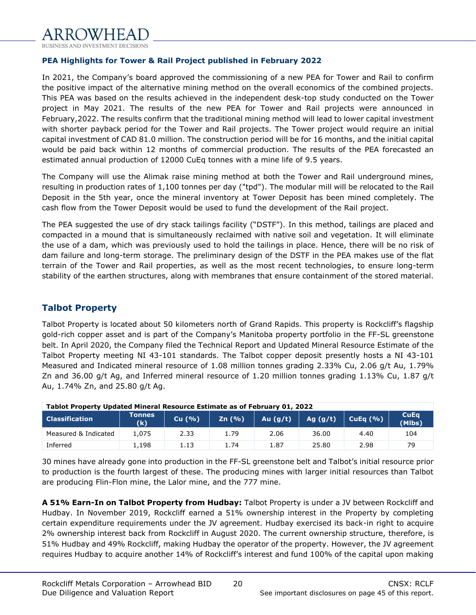## **PEA Highlights for Tower & Rail Project published in February 2022**

In 2021, the Company's board approved the commissioning of a new PEA for Tower and Rail to confirm the positive impact of the alternative mining method on the overall economics of the combined projects. This PEA was based on the results achieved in the independent desk-top study conducted on the Tower project in May 2021. The results of the new PEA for Tower and Rail projects were announced in February,2022. The results confirm that the traditional mining method will lead to lower capital investment with shorter payback period for the Tower and Rail projects. The Tower project would require an initial capital investment of CAD 81.0 million. The construction period will be for 16 months, and the initial capital would be paid back within 12 months of commercial production. The results of the PEA forecasted an estimated annual production of 12000 CuEq tonnes with a mine life of 9.5 years.

The Company will use the Alimak raise mining method at both the Tower and Rail underground mines, resulting in production rates of 1,100 tonnes per day ("tpd"). The modular mill will be relocated to the Rail Deposit in the 5th year, once the mineral inventory at Tower Deposit has been mined completely. The cash flow from the Tower Deposit would be used to fund the development of the Rail project.

The PEA suggested the use of dry stack tailings facility ("DSTF"). In this method, tailings are placed and compacted in a mound that is simultaneously reclaimed with native soil and vegetation. It will eliminate the use of a dam, which was previously used to hold the tailings in place. Hence, there will be no risk of dam failure and long-term storage. The preliminary design of the DSTF in the PEA makes use of the flat terrain of the Tower and Rail properties, as well as the most recent technologies, to ensure long-term stability of the earthen structures, along with membranes that ensure containment of the stored material.

## **Talbot Property**

Talbot Property is located about 50 kilometers north of Grand Rapids. This property is Rockcliff's flagship gold-rich copper asset and is part of the Company's Manitoba property portfolio in the FF-SL greenstone belt. In April 2020, the Company filed the Technical Report and Updated Mineral Resource Estimate of the Talbot Property meeting NI 43-101 standards. The Talbot copper deposit presently hosts a NI 43-101 Measured and Indicated mineral resource of 1.08 million tonnes grading 2.33% Cu, 2.06 g/t Au, 1.79% Zn and 36.00 g/t Ag, and Inferred mineral resource of 1.20 million tonnes grading 1.13% Cu, 1.87 g/t Au, 1.74% Zn, and 25.80 g/t Ag.

| Tablot Property Updated Mineral Resource Estimate as of February 01, 2022 |                      |       |        |            |            |             |                       |  |  |
|---------------------------------------------------------------------------|----------------------|-------|--------|------------|------------|-------------|-----------------------|--|--|
| <b>Classification</b>                                                     | <b>Tonnes</b><br>(k) | Cu(%) | Zn(96) | Au $(g/t)$ | Ag $(g/t)$ | CuEq $(% )$ | <b>CuEa</b><br>(Mlbs) |  |  |
| Measured & Indicated                                                      | 1.075                | 2.33  | 1.79   | 2.06       | 36.00      | 4.40        | 104                   |  |  |
| Inferred                                                                  | 1.198                | 1.13  | 1.74   | 1.87       | 25.80      | 2.98        | 79                    |  |  |

30 mines have already gone into production in the FF-SL greenstone belt and Talbot's initial resource prior to production is the fourth largest of these. The producing mines with larger initial resources than Talbot are producing Flin-Flon mine, the Lalor mine, and the 777 mine.

**A 51% Earn-In on Talbot Property from Hudbay:** Talbot Property is under a JV between Rockcliff and Hudbay. In November 2019, Rockcliff earned a 51% ownership interest in the Property by completing certain expenditure requirements under the JV agreement. Hudbay exercised its back-in right to acquire 2% ownership interest back from Rockcliff in August 2020. The current ownership structure, therefore, is 51% Hudbay and 49% Rockcliff, making Hudbay the operator of the property. However, the JV agreement requires Hudbay to acquire another 14% of Rockcliff's interest and fund 100% of the capital upon making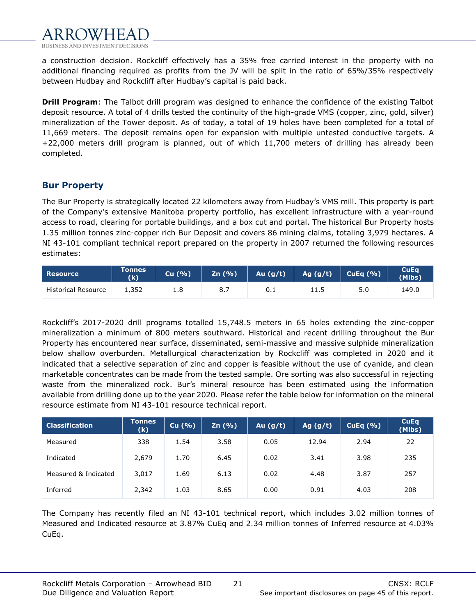

a construction decision. Rockcliff effectively has a 35% free carried interest in the property with no additional financing required as profits from the JV will be split in the ratio of 65%/35% respectively between Hudbay and Rockcliff after Hudbay's capital is paid back.

**Drill Program**: The Talbot drill program was designed to enhance the confidence of the existing Talbot deposit resource. A total of 4 drills tested the continuity of the high-grade VMS (copper, zinc, gold, silver) mineralization of the Tower deposit. As of today, a total of 19 holes have been completed for a total of 11,669 meters. The deposit remains open for expansion with multiple untested conductive targets. A +22,000 meters drill program is planned, out of which 11,700 meters of drilling has already been completed.

## **Bur Property**

The Bur Property is strategically located 22 kilometers away from Hudbay's VMS mill. This property is part of the Company's extensive Manitoba property portfolio, has excellent infrastructure with a year-round access to road, clearing for portable buildings, and a box cut and portal. The historical Bur Property hosts 1.35 million tonnes zinc-copper rich Bur Deposit and covers 86 mining claims, totaling 3,979 hectares. A NI 43-101 compliant technical report prepared on the property in 2007 returned the following resources estimates:

| <b>Resource</b>     | <b>Tonnes</b><br>(k) | Cu(%) | Zn (%) | Au $(g/t)$ | Ag (g/t) | CuEq $(% )$ | <b>CuEq</b><br>(Mlbs) |
|---------------------|----------------------|-------|--------|------------|----------|-------------|-----------------------|
| Historical Resource | 1.352                | 1.8   | 8.     | 0.1        | 11.5     | 5.0         | 149.0                 |

Rockcliff's 2017-2020 drill programs totalled 15,748.5 meters in 65 holes extending the zinc-copper mineralization a minimum of 800 meters southward. Historical and recent drilling throughout the Bur Property has encountered near surface, disseminated, semi-massive and massive sulphide mineralization below shallow overburden. Metallurgical characterization by Rockcliff was completed in 2020 and it indicated that a selective separation of zinc and copper is feasible without the use of cyanide, and clean marketable concentrates can be made from the tested sample. Ore sorting was also successful in rejecting waste from the mineralized rock. Bur's mineral resource has been estimated using the information available from drilling done up to the year 2020. Please refer the table below for information on the mineral resource estimate from NI 43-101 resource technical report.

| <b>Classification</b> | <b>Tonnes</b><br>(k) | Cu $(% )$ | Zn(%) | Au $(g/t)$ | Ag $(g/t)$ | CuEq $(\% )$ | <b>CuEq</b><br>(Mlbs) |
|-----------------------|----------------------|-----------|-------|------------|------------|--------------|-----------------------|
| Measured              | 338                  | 1.54      | 3.58  | 0.05       | 12.94      | 2.94         | 22                    |
| Indicated             | 2,679                | 1.70      | 6.45  | 0.02       | 3.41       | 3.98         | 235                   |
| Measured & Indicated  | 3,017                | 1.69      | 6.13  | 0.02       | 4.48       | 3.87         | 257                   |
| Inferred              | 2,342                | 1.03      | 8.65  | 0.00       | 0.91       | 4.03         | 208                   |

The Company has recently filed an NI 43-101 technical report, which includes 3.02 million tonnes of Measured and Indicated resource at 3.87% CuEq and 2.34 million tonnes of Inferred resource at 4.03% CuEq.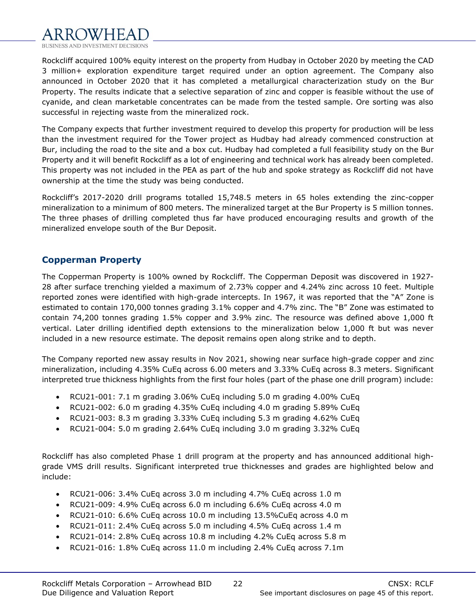

Rockcliff acquired 100% equity interest on the property from Hudbay in October 2020 by meeting the CAD 3 million+ exploration expenditure target required under an option agreement. The Company also announced in October 2020 that it has completed a metallurgical characterization study on the Bur Property. The results indicate that a selective separation of zinc and copper is feasible without the use of cyanide, and clean marketable concentrates can be made from the tested sample. Ore sorting was also successful in rejecting waste from the mineralized rock.

The Company expects that further investment required to develop this property for production will be less than the investment required for the Tower project as Hudbay had already commenced construction at Bur, including the road to the site and a box cut. Hudbay had completed a full feasibility study on the Bur Property and it will benefit Rockcliff as a lot of engineering and technical work has already been completed. This property was not included in the PEA as part of the hub and spoke strategy as Rockcliff did not have ownership at the time the study was being conducted.

Rockcliff's 2017-2020 drill programs totalled 15,748.5 meters in 65 holes extending the zinc-copper mineralization to a minimum of 800 meters. The mineralized target at the Bur Property is 5 million tonnes. The three phases of drilling completed thus far have produced encouraging results and growth of the mineralized envelope south of the Bur Deposit.

## **Copperman Property**

The Copperman Property is 100% owned by Rockcliff. The Copperman Deposit was discovered in 1927- 28 after surface trenching yielded a maximum of 2.73% copper and 4.24% zinc across 10 feet. Multiple reported zones were identified with high-grade intercepts. In 1967, it was reported that the "A" Zone is estimated to contain 170,000 tonnes grading 3.1% copper and 4.7% zinc. The "B" Zone was estimated to contain 74,200 tonnes grading 1.5% copper and 3.9% zinc. The resource was defined above 1,000 ft vertical. Later drilling identified depth extensions to the mineralization below 1,000 ft but was never included in a new resource estimate. The deposit remains open along strike and to depth.

The Company reported new assay results in Nov 2021, showing near surface high-grade copper and zinc mineralization, including 4.35% CuEq across 6.00 meters and 3.33% CuEq across 8.3 meters. Significant interpreted true thickness highlights from the first four holes (part of the phase one drill program) include:

- RCU21-001: 7.1 m grading 3.06% CuEq including 5.0 m grading 4.00% CuEq
- RCU21-002: 6.0 m grading 4.35% CuEq including 4.0 m grading 5.89% CuEq
- RCU21-003: 8.3 m grading 3.33% CuEq including 5.3 m grading 4.62% CuEq
- RCU21-004: 5.0 m grading 2.64% CuEq including 3.0 m grading 3.32% CuEq

Rockcliff has also completed Phase 1 drill program at the property and has announced additional highgrade VMS drill results. Significant interpreted true thicknesses and grades are highlighted below and include:

- RCU21-006: 3.4% CuEq across 3.0 m including 4.7% CuEq across 1.0 m
- RCU21-009: 4.9% CuEq across 6.0 m including 6.6% CuEq across 4.0 m
- RCU21-010: 6.6% CuEq across 10.0 m including 13.5%CuEq across 4.0 m
- RCU21-011: 2.4% CuEq across 5.0 m including 4.5% CuEq across 1.4 m
- RCU21-014: 2.8% CuEq across 10.8 m including 4.2% CuEq across 5.8 m
- RCU21-016: 1.8% CuEq across 11.0 m including 2.4% CuEq across 7.1m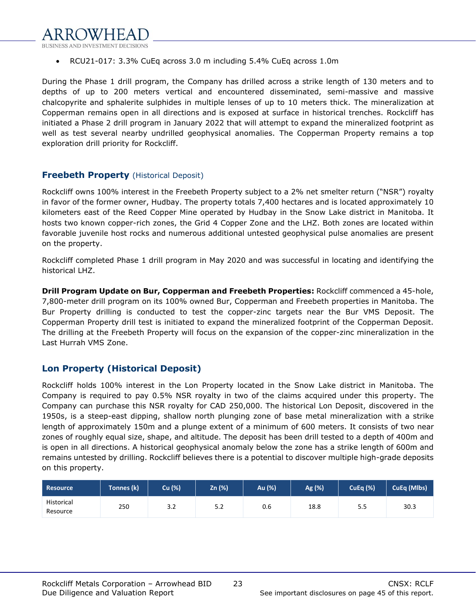

• RCU21-017: 3.3% CuEq across 3.0 m including 5.4% CuEq across 1.0m

During the Phase 1 drill program, the Company has drilled across a strike length of 130 meters and to depths of up to 200 meters vertical and encountered disseminated, semi-massive and massive chalcopyrite and sphalerite sulphides in multiple lenses of up to 10 meters thick. The mineralization at Copperman remains open in all directions and is exposed at surface in historical trenches. Rockcliff has initiated a Phase 2 drill program in January 2022 that will attempt to expand the mineralized footprint as well as test several nearby undrilled geophysical anomalies. The Copperman Property remains a top exploration drill priority for Rockcliff.

## **Freebeth Property** (Historical Deposit)

Rockcliff owns 100% interest in the Freebeth Property subject to a 2% net smelter return ("NSR") royalty in favor of the former owner, Hudbay. The property totals 7,400 hectares and is located approximately 10 kilometers east of the Reed Copper Mine operated by Hudbay in the Snow Lake district in Manitoba. It hosts two known copper-rich zones, the Grid 4 Copper Zone and the LHZ. Both zones are located within favorable juvenile host rocks and numerous additional untested geophysical pulse anomalies are present on the property.

Rockcliff completed Phase 1 drill program in May 2020 and was successful in locating and identifying the historical LHZ.

**Drill Program Update on Bur, Copperman and Freebeth Properties:** Rockcliff commenced a 45-hole, 7,800-meter drill program on its 100% owned Bur, Copperman and Freebeth properties in Manitoba. The Bur Property drilling is conducted to test the copper-zinc targets near the Bur VMS Deposit. The Copperman Property drill test is initiated to expand the mineralized footprint of the Copperman Deposit. The drilling at the Freebeth Property will focus on the expansion of the copper-zinc mineralization in the Last Hurrah VMS Zone.

## **Lon Property (Historical Deposit)**

Rockcliff holds 100% interest in the Lon Property located in the Snow Lake district in Manitoba. The Company is required to pay 0.5% NSR royalty in two of the claims acquired under this property. The Company can purchase this NSR royalty for CAD 250,000. The historical Lon Deposit, discovered in the 1950s, is a steep-east dipping, shallow north plunging zone of base metal mineralization with a strike length of approximately 150m and a plunge extent of a minimum of 600 meters. It consists of two near zones of roughly equal size, shape, and altitude. The deposit has been drill tested to a depth of 400m and is open in all directions. A historical geophysical anomaly below the zone has a strike length of 600m and remains untested by drilling. Rockcliff believes there is a potential to discover multiple high-grade deposits on this property.

| <b>Resource</b>               | Tonnes (k) | Cu (%) | Zn (%) | Au (%) | Ag (%) | <b>CuEq (%)</b> | CuEq (Mlbs) |
|-------------------------------|------------|--------|--------|--------|--------|-----------------|-------------|
| <b>Historical</b><br>Resource | 250        | 3.2    | 5.2    | 0.6    | 18.8   | 5.5             | 30.3        |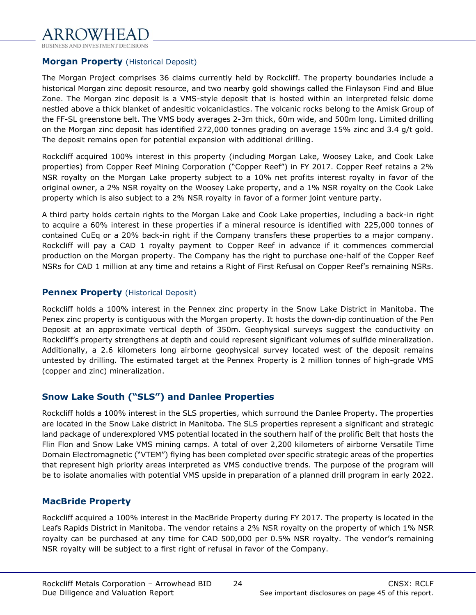

## **Morgan Property** (Historical Deposit)

The Morgan Project comprises 36 claims currently held by Rockcliff. The property boundaries include a historical Morgan zinc deposit resource, and two nearby gold showings called the Finlayson Find and Blue Zone. The Morgan zinc deposit is a VMS-style deposit that is hosted within an interpreted felsic dome nestled above a thick blanket of andesitic volcaniclastics. The volcanic rocks belong to the Amisk Group of the FF-SL greenstone belt. The VMS body averages 2-3m thick, 60m wide, and 500m long. Limited drilling on the Morgan zinc deposit has identified 272,000 tonnes grading on average 15% zinc and 3.4 g/t gold. The deposit remains open for potential expansion with additional drilling.

Rockcliff acquired 100% interest in this property (including Morgan Lake, Woosey Lake, and Cook Lake properties) from Copper Reef Mining Corporation ("Copper Reef") in FY 2017. Copper Reef retains a 2% NSR royalty on the Morgan Lake property subject to a 10% net profits interest royalty in favor of the original owner, a 2% NSR royalty on the Woosey Lake property, and a 1% NSR royalty on the Cook Lake property which is also subject to a 2% NSR royalty in favor of a former joint venture party.

A third party holds certain rights to the Morgan Lake and Cook Lake properties, including a back-in right to acquire a 60% interest in these properties if a mineral resource is identified with 225,000 tonnes of contained CuEq or a 20% back-in right if the Company transfers these properties to a major company. Rockcliff will pay a CAD 1 royalty payment to Copper Reef in advance if it commences commercial production on the Morgan property. The Company has the right to purchase one-half of the Copper Reef NSRs for CAD 1 million at any time and retains a Right of First Refusal on Copper Reef's remaining NSRs.

## **Pennex Property** (Historical Deposit)

Rockcliff holds a 100% interest in the Pennex zinc property in the Snow Lake District in Manitoba. The Penex zinc property is contiguous with the Morgan property. It hosts the down-dip continuation of the Pen Deposit at an approximate vertical depth of 350m. Geophysical surveys suggest the conductivity on Rockcliff's property strengthens at depth and could represent significant volumes of sulfide mineralization. Additionally, a 2.6 kilometers long airborne geophysical survey located west of the deposit remains untested by drilling. The estimated target at the Pennex Property is 2 million tonnes of high-grade VMS (copper and zinc) mineralization.

## **Snow Lake South ("SLS") and Danlee Properties**

Rockcliff holds a 100% interest in the SLS properties, which surround the Danlee Property. The properties are located in the Snow Lake district in Manitoba. The SLS properties represent a significant and strategic land package of underexplored VMS potential located in the southern half of the prolific Belt that hosts the Flin Flon and Snow Lake VMS mining camps. A total of over 2,200 kilometers of airborne Versatile Time Domain Electromagnetic ("VTEM") flying has been completed over specific strategic areas of the properties that represent high priority areas interpreted as VMS conductive trends. The purpose of the program will be to isolate anomalies with potential VMS upside in preparation of a planned drill program in early 2022.

## **MacBride Property**

Rockcliff acquired a 100% interest in the MacBride Property during FY 2017. The property is located in the Leafs Rapids District in Manitoba. The vendor retains a 2% NSR royalty on the property of which 1% NSR royalty can be purchased at any time for CAD 500,000 per 0.5% NSR royalty. The vendor's remaining NSR royalty will be subject to a first right of refusal in favor of the Company.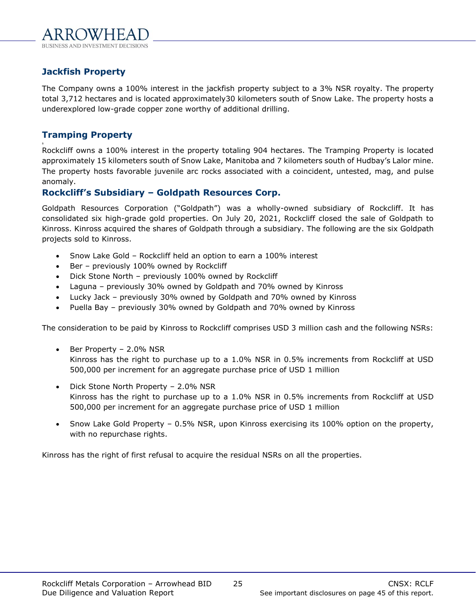## **Jackfish Property**

The Company owns a 100% interest in the jackfish property subject to a 3% NSR royalty. The property total 3,712 hectares and is located approximately30 kilometers south of Snow Lake. The property hosts a underexplored low-grade copper zone worthy of additional drilling.

## **Tramping Property**

s Rockcliff owns a 100% interest in the property totaling 904 hectares. The Tramping Property is located approximately 15 kilometers south of Snow Lake, Manitoba and 7 kilometers south of Hudbay's Lalor mine. The property hosts favorable juvenile arc rocks associated with a coincident, untested, mag, and pulse anomaly.

## **Rockcliff's Subsidiary – Goldpath Resources Corp.**

Goldpath Resources Corporation ("Goldpath") was a wholly-owned subsidiary of Rockcliff. It has consolidated six high-grade gold properties. On July 20, 2021, Rockcliff closed the sale of Goldpath to Kinross. Kinross acquired the shares of Goldpath through a subsidiary. The following are the six Goldpath projects sold to Kinross.

- Snow Lake Gold Rockcliff held an option to earn a 100% interest
- Ber previously 100% owned by Rockcliff
- Dick Stone North previously 100% owned by Rockcliff
- Laguna previously 30% owned by Goldpath and 70% owned by Kinross
- Lucky Jack previously 30% owned by Goldpath and 70% owned by Kinross
- Puella Bay previously 30% owned by Goldpath and 70% owned by Kinross

The consideration to be paid by Kinross to Rockcliff comprises USD 3 million cash and the following NSRs:

- Ber Property 2.0% NSR Kinross has the right to purchase up to a 1.0% NSR in 0.5% increments from Rockcliff at USD 500,000 per increment for an aggregate purchase price of USD 1 million
- Dick Stone North Property 2.0% NSR Kinross has the right to purchase up to a 1.0% NSR in 0.5% increments from Rockcliff at USD 500,000 per increment for an aggregate purchase price of USD 1 million
- Snow Lake Gold Property 0.5% NSR, upon Kinross exercising its 100% option on the property, with no repurchase rights.

Kinross has the right of first refusal to acquire the residual NSRs on all the properties.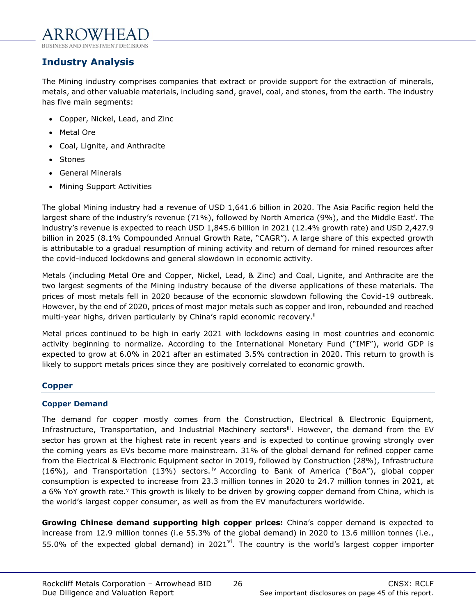## <span id="page-25-0"></span>**Industry Analysis**

The Mining industry comprises companies that extract or provide support for the extraction of minerals, metals, and other valuable materials, including sand, gravel, coal, and stones, from the earth. The industry has five main segments:

- Copper, Nickel, Lead, and Zinc
- Metal Ore
- Coal, Lignite, and Anthracite
- Stones
- General Minerals
- Mining Support Activities

The global Mining industry had a revenue of USD 1,641.6 billion in 2020. The Asia Pacific region held the largest share of the industry's revenue (71%), followed by North America (9%), and the Middle East<sup>i</sup>. The industry's revenue is expected to reach USD 1,845.6 billion in 2021 (12.4% growth rate) and USD 2,427.9 billion in 2025 (8.1% Compounded Annual Growth Rate, "CAGR"). A large share of this expected growth is attributable to a gradual resumption of mining activity and return of demand for mined resources after the covid-induced lockdowns and general slowdown in economic activity.

Metals (including Metal Ore and Copper, Nickel, Lead, & Zinc) and Coal, Lignite, and Anthracite are the two largest segments of the Mining industry because of the diverse applications of these materials. The prices of most metals fell in 2020 because of the economic slowdown following the Covid-19 outbreak. However, by the end of 2020, prices of most major metals such as copper and iron, rebounded and reached multi-year highs, driven particularly by China's rapid economic recovery.<sup>ii</sup>

Metal prices continued to be high in early 2021 with lockdowns easing in most countries and economic activity beginning to normalize. According to the [International Monetary Fund](https://www.imf.org/en/Home) ("IMF"), world GDP is expected to grow at 6.0% in 2021 after an estimated 3.5% contraction in 2020. This return to growth is likely to support metals prices since they are positively correlated to economic growth.

## **Copper**

## **Copper Demand**

The demand for copper mostly comes from the Construction, Electrical & Electronic Equipment, Infrastructure, Transportation, and Industrial Machinery sectors<sup>iii</sup>. However, the demand from the EV sector has grown at the highest rate in recent years and is expected to continue growing strongly over the coming years as EVs become more mainstream. 31% of the global demand for refined copper came from the Electrical & Electronic Equipment sector in 2019, followed by Construction (28%), Infrastructure (16%), and Transportation (13%) sectors.  $\dot{v}$  According to Bank of America ("BoA"), global copper consumption is expected to increase from 23.3 million tonnes in 2020 to 24.7 million tonnes in 2021, at a 6% YoY growth rate.<sup>v</sup> This growth is likely to be driven by growing copper demand from China, which is the world's largest copper consumer, as well as from the EV manufacturers worldwide.

**Growing Chinese demand supporting high copper prices:** China's copper demand is expected to increase from 12.9 million tonnes (i.e 55.3% of the global demand) in 2020 to 13.6 million tonnes (i.e., 55.0% of the expected global demand) in 2021 $\overline{v}$ . The country is the world's largest copper importer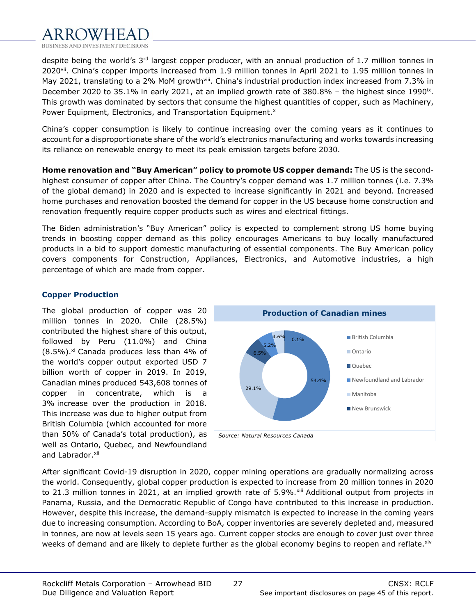

despite being the world's 3<sup>rd</sup> largest copper producer, with an annual production of 1.7 million tonnes in 2020<sup>vii</sup>. China's copper imports increased from 1.9 million tonnes in April 2021 to 1.95 million tonnes in May 2021, translating to a 2% MoM growth<sup>viii</sup>. China's industrial production index increased from 7.3% in December 2020 to 35.1% in early 2021, at an implied growth rate of  $380.8\%$  – the highest since 1990<sup>ix</sup>. This growth was dominated by sectors that consume the highest quantities of copper, such as Machinery, Power Equipment, Electronics, and Transportation Equipment.<sup>x</sup>

China's copper consumption is likely to continue increasing over the coming years as it continues to account for a disproportionate share of the world's electronics manufacturing and works towards increasing its reliance on renewable energy to meet its peak emission targets before 2030.

**Home renovation and "Buy American" policy to promote US copper demand:** The US is the secondhighest consumer of copper after China. The Country's copper demand was 1.7 million tonnes (i.e. 7.3% of the global demand) in 2020 and is expected to increase significantly in 2021 and beyond. Increased home purchases and renovation boosted the demand for copper in the US because home construction and renovation frequently require copper products such as wires and electrical fittings.

The Biden administration's "Buy American" policy is expected to complement strong US home buying trends in boosting copper demand as this policy encourages Americans to buy locally manufactured products in a bid to support domestic manufacturing of essential components. The Buy American policy covers components for Construction, Appliances, Electronics, and Automotive industries, a high percentage of which are made from copper.

## **Copper Production**

The global production of copper was 20 million tonnes in 2020. Chile (28.5%) contributed the highest share of this output, followed by Peru (11.0%) and China  $(8.5\%)$ .<sup>xi</sup> Canada produces less than 4% of the world's copper output exported USD 7 billion worth of copper in 2019. In 2019, Canadian mines produced 543,608 tonnes of copper in concentrate, which is a 3% increase over the production in 2018. This increase was due to higher output from British Columbia (which accounted for more than 50% of Canada's total production), as well as Ontario, Quebec, and Newfoundland and Labrador.<sup>xii</sup>



After significant Covid-19 disruption in 2020, copper mining operations are gradually normalizing across the world. Consequently, global copper production is expected to increase from 20 million tonnes in 2020 to 21.3 million tonnes in 2021, at an implied growth rate of 5.9%.xiii Additional output from projects in Panama, Russia, and the Democratic Republic of Congo have contributed to this increase in production. However, despite this increase, the demand-supply mismatch is expected to increase in the coming years due to increasing consumption. According to BoA, copper inventories are severely depleted and, measured in tonnes, are now at levels seen 15 years ago. Current copper stocks are enough to cover just over three weeks of demand and are likely to deplete further as the global economy begins to reopen and reflate.<sup>xiv</sup>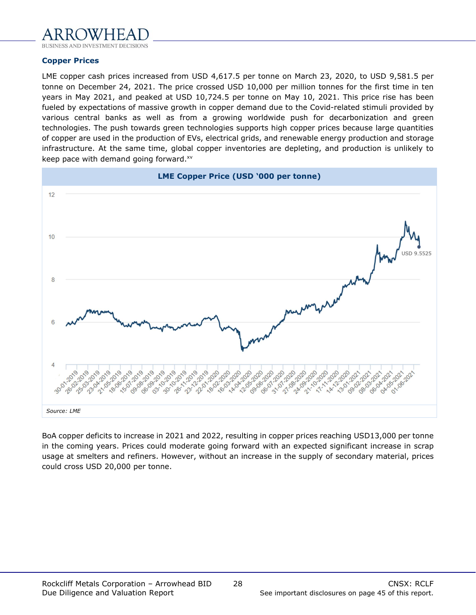

### **Copper Prices**

LME copper cash prices increased from USD 4,617.5 per tonne on March 23, 2020, to USD 9,581.5 per tonne on December 24, 2021. The price crossed USD 10,000 per million tonnes for the first time in ten years in May 2021, and peaked at USD 10,724.5 per tonne on May 10, 2021. This price rise has been fueled by expectations of massive growth in copper demand due to the Covid-related stimuli provided by various central banks as well as from a growing worldwide push for decarbonization and green technologies. The push towards green technologies supports high copper prices because large quantities of copper are used in the production of EVs, electrical grids, and renewable energy production and storage infrastructure. At the same time, global copper inventories are depleting, and production is unlikely to keep pace with demand going forward. xv



BoA copper deficits to increase in 2021 and 2022, resulting in copper prices reaching USD13,000 per tonne in the coming years. Prices could moderate going forward with an expected significant increase in scrap usage at smelters and refiners. However, without an increase in the supply of secondary material, prices could cross USD 20,000 per tonne.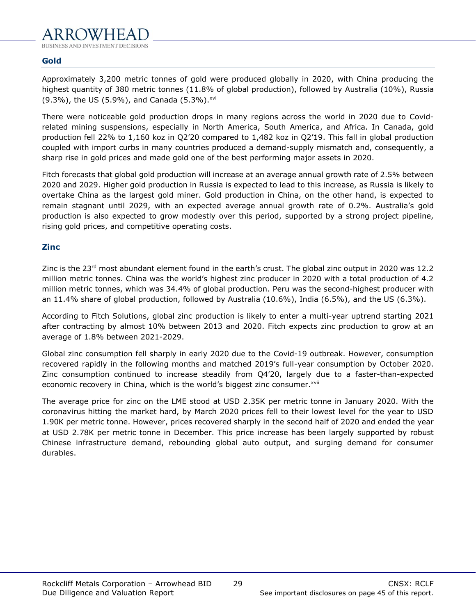## **Gold**

Approximately 3,200 metric tonnes of gold were produced globally in 2020, with China producing the highest quantity of 380 metric tonnes (11.8% of global production), followed by Australia (10%), Russia (9.3%), the US (5.9%), and Canada (5.3%).<sup>xvi</sup>

There were noticeable gold production drops in many regions across the world in 2020 due to Covidrelated mining suspensions, especially in North America, South America, and Africa. In Canada, gold production fell 22% to 1,160 koz in Q2'20 compared to 1,482 koz in Q2'19. This fall in global production coupled with import curbs in many countries produced a demand-supply mismatch and, consequently, a sharp rise in gold prices and made gold one of the best performing major assets in 2020.

Fitch forecasts that global gold production will increase at an average annual growth rate of 2.5% between 2020 and 2029. Higher gold production in Russia is expected to lead to this increase, as Russia is likely to overtake China as the largest gold miner. Gold production in China, on the other hand, is expected to remain stagnant until 2029, with an expected average annual growth rate of 0.2%. Australia's gold production is also expected to grow modestly over this period, supported by a strong project pipeline, rising gold prices, and competitive operating costs.

## **Zinc**

Zinc is the 23rd most abundant element found in the earth's crust. The global zinc output in 2020 was 12.2 million metric tonnes. China was the world's highest zinc producer in 2020 with a total production of 4.2 million metric tonnes, which was 34.4% of global production. Peru was the second-highest producer with an 11.4% share of global production, followed by Australia (10.6%), India (6.5%), and the US (6.3%).

According to Fitch Solutions, global zinc production is likely to enter a multi-year uptrend starting 2021 after contracting by almost 10% between 2013 and 2020. Fitch expects zinc production to grow at an average of 1.8% between 2021-2029.

Global zinc consumption fell sharply in early 2020 due to the Covid-19 outbreak. However, consumption recovered rapidly in the following months and matched 2019's full-year consumption by October 2020. Zinc consumption continued to increase steadily from Q4'20, largely due to a faster-than-expected economic recovery in China, which is the world's biggest zinc consumer. XVII

The average price for zinc on the LME stood at USD 2.35K per metric tonne in January 2020. With the coronavirus hitting the market hard, by March 2020 prices fell to their lowest level for the year to USD 1.90K per metric tonne. However, prices recovered sharply in the second half of 2020 and ended the year at USD 2.78K per metric tonne in December. This price increase has been largely supported by robust Chinese infrastructure demand, rebounding global auto output, and surging demand for consumer durables.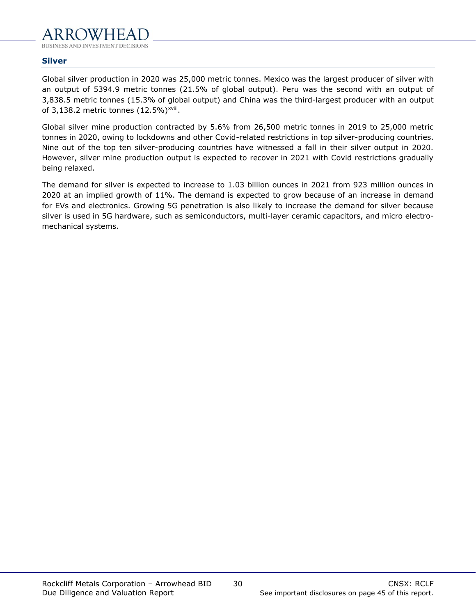## **Silver**

Global silver production in 2020 was 25,000 metric tonnes. Mexico was the largest producer of silver with an output of 5394.9 metric tonnes (21.5% of global output). Peru was the second with an output of 3,838.5 metric tonnes (15.3% of global output) and China was the third-largest producer with an output of 3,138.2 metric tonnes  $(12.5\%)^{\text{xviii}}$ .

Global silver mine production contracted by 5.6% from 26,500 metric tonnes in 2019 to 25,000 metric tonnes in 2020, owing to lockdowns and other Covid-related restrictions in top silver-producing countries. Nine out of the top ten silver-producing countries have witnessed a fall in their silver output in 2020. However, silver mine production output is expected to recover in 2021 with Covid restrictions gradually being relaxed.

The demand for silver is expected to increase to 1.03 billion ounces in 2021 from 923 million ounces in 2020 at an implied growth of 11%. The demand is expected to grow because of an increase in demand for EVs and electronics. Growing 5G penetration is also likely to increase the demand for silver because silver is used in 5G hardware, such as semiconductors, multi-layer ceramic capacitors, and micro electromechanical systems.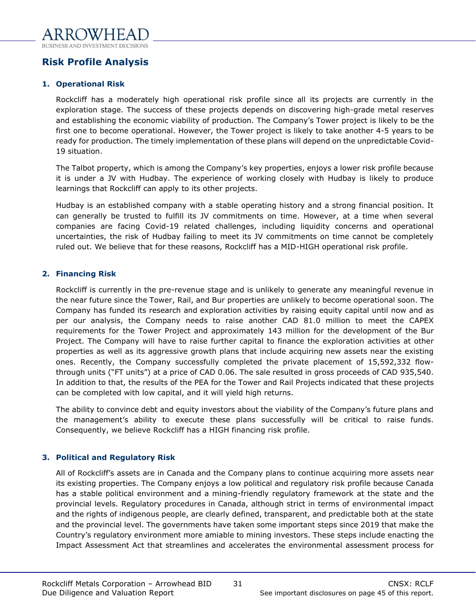## <span id="page-30-0"></span>**Risk Profile Analysis**

## **1. Operational Risk**

Rockcliff has a moderately high operational risk profile since all its projects are currently in the exploration stage. The success of these projects depends on discovering high-grade metal reserves and establishing the economic viability of production. The Company's Tower project is likely to be the first one to become operational. However, the Tower project is likely to take another 4-5 years to be ready for production. The timely implementation of these plans will depend on the unpredictable Covid-19 situation.

The Talbot property, which is among the Company's key properties, enjoys a lower risk profile because it is under a JV with Hudbay. The experience of working closely with Hudbay is likely to produce learnings that Rockcliff can apply to its other projects.

Hudbay is an established company with a stable operating history and a strong financial position. It can generally be trusted to fulfill its JV commitments on time. However, at a time when several companies are facing Covid-19 related challenges, including liquidity concerns and operational uncertainties, the risk of Hudbay failing to meet its JV commitments on time cannot be completely ruled out. We believe that for these reasons, Rockcliff has a MID-HIGH operational risk profile.

## **2. Financing Risk**

Rockcliff is currently in the pre-revenue stage and is unlikely to generate any meaningful revenue in the near future since the Tower, Rail, and Bur properties are unlikely to become operational soon. The Company has funded its research and exploration activities by raising equity capital until now and as per our analysis, the Company needs to raise another CAD 81.0 million to meet the CAPEX requirements for the Tower Project and approximately 143 million for the development of the Bur Project. The Company will have to raise further capital to finance the exploration activities at other properties as well as its aggressive growth plans that include acquiring new assets near the existing ones. Recently, the Company successfully completed the private placement of 15,592,332 flowthrough units ("FT units") at a price of CAD 0.06. The sale resulted in gross proceeds of CAD 935,540. In addition to that, the results of the PEA for the Tower and Rail Projects indicated that these projects can be completed with low capital, and it will yield high returns.

The ability to convince debt and equity investors about the viability of the Company's future plans and the management's ability to execute these plans successfully will be critical to raise funds. Consequently, we believe Rockcliff has a HIGH financing risk profile.

## **3. Political and Regulatory Risk**

All of Rockcliff's assets are in Canada and the Company plans to continue acquiring more assets near its existing properties. The Company enjoys a low political and regulatory risk profile because Canada has a stable political environment and a mining-friendly regulatory framework at the state and the provincial levels. Regulatory procedures in Canada, although strict in terms of environmental impact and the rights of indigenous people, are clearly defined, transparent, and predictable both at the state and the provincial level. The governments have taken some important steps since 2019 that make the Country's regulatory environment more amiable to mining investors. These steps include enacting the Impact Assessment Act that streamlines and accelerates the environmental assessment process for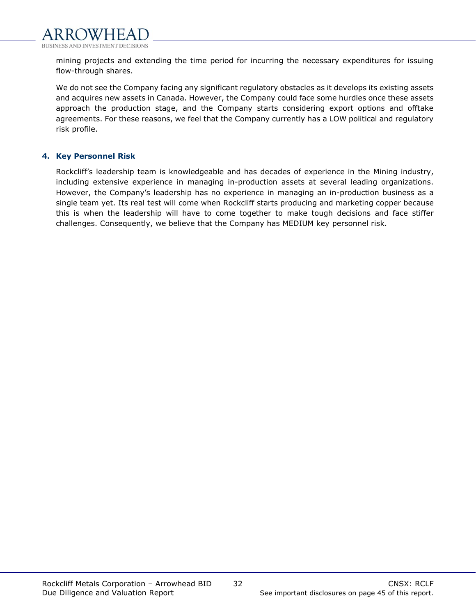mining projects and extending the time period for incurring the necessary expenditures for issuing flow-through shares.

We do not see the Company facing any significant regulatory obstacles as it develops its existing assets and acquires new assets in Canada. However, the Company could face some hurdles once these assets approach the production stage, and the Company starts considering export options and offtake agreements. For these reasons, we feel that the Company currently has a LOW political and regulatory risk profile.

## **4. Key Personnel Risk**

Rockcliff's leadership team is knowledgeable and has decades of experience in the Mining industry, including extensive experience in managing in-production assets at several leading organizations. However, the Company's leadership has no experience in managing an in-production business as a single team yet. Its real test will come when Rockcliff starts producing and marketing copper because this is when the leadership will have to come together to make tough decisions and face stiffer challenges. Consequently, we believe that the Company has MEDIUM key personnel risk.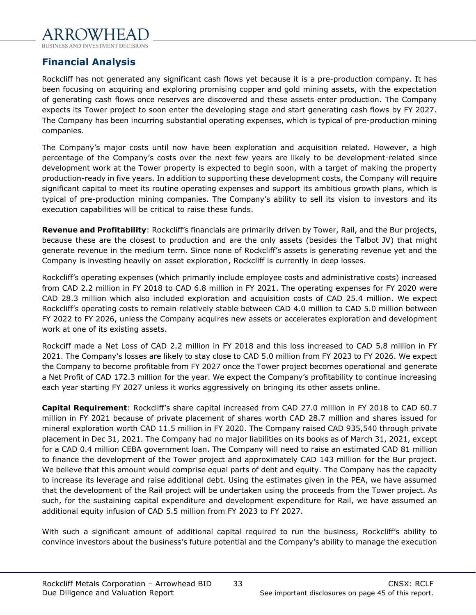## <span id="page-32-0"></span>**Financial Analysis**

Rockcliff has not generated any significant cash flows yet because it is a pre-production company. It has been focusing on acquiring and exploring promising copper and gold mining assets, with the expectation of generating cash flows once reserves are discovered and these assets enter production. The Company expects its Tower project to soon enter the developing stage and start generating cash flows by FY 2027. The Company has been incurring substantial operating expenses, which is typical of pre-production mining companies.

The Company's major costs until now have been exploration and acquisition related. However, a high percentage of the Company's costs over the next few years are likely to be development-related since development work at the Tower property is expected to begin soon, with a target of making the property production-ready in five years. In addition to supporting these development costs, the Company will require significant capital to meet its routine operating expenses and support its ambitious growth plans, which is typical of pre-production mining companies. The Company's ability to sell its vision to investors and its execution capabilities will be critical to raise these funds.

**Revenue and Profitability**: Rockcliff's financials are primarily driven by Tower, Rail, and the Bur projects, because these are the closest to production and are the only assets (besides the Talbot JV) that might generate revenue in the medium term. Since none of Rockcliff's assets is generating revenue yet and the Company is investing heavily on asset exploration, Rockcliff is currently in deep losses.

Rockcliff's operating expenses (which primarily include employee costs and administrative costs) increased from CAD 2.2 million in FY 2018 to CAD 6.8 million in FY 2021. The operating expenses for FY 2020 were CAD 28.3 million which also included exploration and acquisition costs of CAD 25.4 million. We expect Rockcliff's operating costs to remain relatively stable between CAD 4.0 million to CAD 5.0 million between FY 2022 to FY 2026, unless the Company acquires new assets or accelerates exploration and development work at one of its existing assets.

Rockciff made a Net Loss of CAD 2.2 million in FY 2018 and this loss increased to CAD 5.8 million in FY 2021. The Company's losses are likely to stay close to CAD 5.0 million from FY 2023 to FY 2026. We expect the Company to become profitable from FY 2027 once the Tower project becomes operational and generate a Net Profit of CAD 172.3 million for the year. We expect the Company's profitability to continue increasing each year starting FY 2027 unless it works aggressively on bringing its other assets online.

**Capital Requirement**: Rockcliff's share capital increased from CAD 27.0 million in FY 2018 to CAD 60.7 million in FY 2021 because of private placement of shares worth CAD 28.7 million and shares issued for mineral exploration worth CAD 11.5 million in FY 2020. The Company raised CAD 935,540 through private placement in Dec 31, 2021. The Company had no major liabilities on its books as of March 31, 2021, except for a CAD 0.4 million CEBA government loan. The Company will need to raise an estimated CAD 81 million to finance the development of the Tower project and approximately CAD 143 million for the Bur project. We believe that this amount would comprise equal parts of debt and equity. The Company has the capacity to increase its leverage and raise additional debt. Using the estimates given in the PEA, we have assumed that the development of the Rail project will be undertaken using the proceeds from the Tower project. As such, for the sustaining capital expenditure and development expenditure for Rail, we have assumed an additional equity infusion of CAD 5.5 million from FY 2023 to FY 2027.

With such a significant amount of additional capital required to run the business, Rockcliff's ability to convince investors about the business's future potential and the Company's ability to manage the execution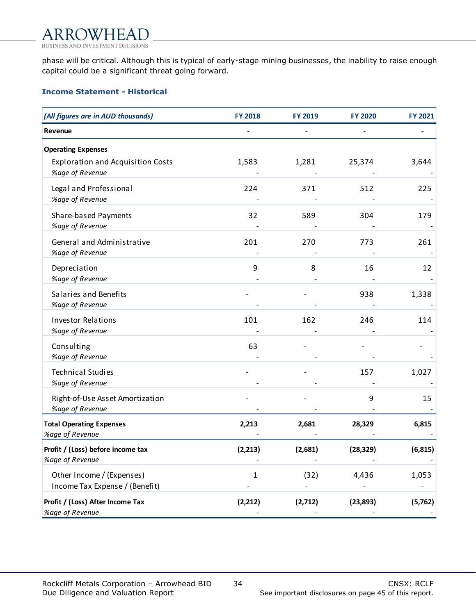phase will be critical. Although this is typical of early-stage mining businesses, the inability to raise enough capital could be a significant threat going forward.

## **Income Statement - Historical**

| (All figures are in AUD thousands)                          | <b>FY 2018</b> | <b>FY 2019</b> | <b>FY 2020</b> | <b>FY 2021</b> |
|-------------------------------------------------------------|----------------|----------------|----------------|----------------|
| Revenue                                                     |                |                |                |                |
| <b>Operating Expenses</b>                                   |                |                |                |                |
| <b>Exploration and Acquisition Costs</b><br>%age of Revenue | 1,583          | 1,281          | 25,374         | 3,644          |
| Legal and Professional<br>%age of Revenue                   | 224            | 371            | 512            | 225            |
| Share-based Payments<br>%age of Revenue                     | 32             | 589            | 304            | 179            |
| General and Administrative<br>%age of Revenue               | 201            | 270            | 773            | 261            |
| Depreciation<br>%age of Revenue                             | 9              | 8              | 16             | 12             |
| Salaries and Benefits<br>%age of Revenue                    |                |                | 938            | 1,338          |
| <b>Investor Relations</b><br>%age of Revenue                | 101            | 162            | 246            | 114            |
| Consulting<br>%age of Revenue                               | 63             |                |                |                |
| <b>Technical Studies</b><br>%age of Revenue                 |                |                | 157            | 1,027          |
| Right-of-Use Asset Amortization<br>%age of Revenue          |                |                | 9              | 15             |
| <b>Total Operating Expenses</b><br>%age of Revenue          | 2,213          | 2,681          | 28,329         | 6,815          |
| Profit / (Loss) before income tax<br>%age of Revenue        | (2, 213)       | (2,681)        | (28, 329)      | (6, 815)       |
| Other Income / (Expenses)<br>Income Tax Expense / (Benefit) | 1              | (32)           | 4,436          | 1,053          |
| Profit / (Loss) After Income Tax<br>%age of Revenue         | (2, 212)       | (2,712)        | (23, 893)      | (5, 762)       |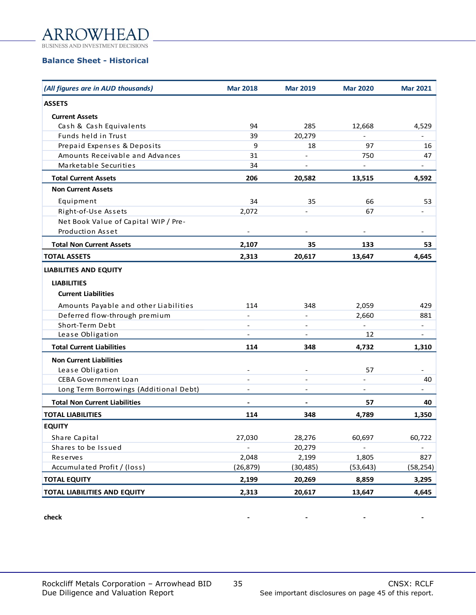

**BUSINESS AND IN DECISIONS** 

## **Balance Sheet - Historical**

| (All figures are in AUD thousands)     | <b>Mar 2018</b>              | <b>Mar 2019</b>          | <b>Mar 2020</b>          | <b>Mar 2021</b>          |
|----------------------------------------|------------------------------|--------------------------|--------------------------|--------------------------|
| <b>ASSETS</b>                          |                              |                          |                          |                          |
| <b>Current Assets</b>                  |                              |                          |                          |                          |
| Cash & Cash Equivalents                | 94                           | 285                      | 12,668                   | 4,529                    |
| Funds held in Trust                    | 39                           | 20,279                   | $\overline{\phantom{a}}$ |                          |
| Prepaid Expenses & Deposits            | 9                            | 18                       | 97                       | 16                       |
| Amounts Receivable and Advances        | 31                           | $\overline{\phantom{a}}$ | 750                      | 47                       |
| Marketable Securities                  | 34                           | $\overline{\phantom{m}}$ | $\frac{1}{2}$            | $\overline{a}$           |
| <b>Total Current Assets</b>            | 206                          | 20,582                   | 13,515                   | 4,592                    |
| <b>Non Current Assets</b>              |                              |                          |                          |                          |
| Equipment                              | 34                           | 35                       | 66                       | 53                       |
| Right-of-Use Assets                    | 2,072                        |                          | 67                       |                          |
| Net Book Value of Capital WIP / Pre-   |                              |                          |                          |                          |
| <b>Production Asset</b>                | $\overline{\phantom{a}}$     | $\overline{\phantom{a}}$ | $\overline{\phantom{a}}$ | $\overline{\phantom{0}}$ |
| <b>Total Non Current Assets</b>        | 2,107                        | 35                       | 133                      | 53                       |
| <b>TOTAL ASSETS</b>                    | 2,313                        | 20,617                   | 13,647                   | 4,645                    |
| <b>LIABILITIES AND EQUITY</b>          |                              |                          |                          |                          |
| <b>LIABILITIES</b>                     |                              |                          |                          |                          |
| <b>Current Liabilities</b>             |                              |                          |                          |                          |
| Amounts Payable and other Liabilities  | 114                          | 348                      | 2,059                    | 429                      |
| Deferred flow-through premium          | $\blacksquare$               | $\overline{\phantom{a}}$ | 2,660                    | 881                      |
| Short-Term Debt                        | $\overline{\phantom{a}}$     | $\overline{\phantom{a}}$ | $\overline{\phantom{a}}$ | $\overline{\phantom{0}}$ |
| Lease Obligation                       | $\blacksquare$               | $\overline{\phantom{a}}$ | 12                       | $\overline{\phantom{0}}$ |
| <b>Total Current Liabilities</b>       | 114                          | 348                      | 4,732                    | 1,310                    |
| <b>Non Current Liabilities</b>         |                              |                          |                          |                          |
| Lease Obligation                       |                              |                          | 57                       |                          |
| <b>CEBA Government Loan</b>            | $\blacksquare$               | $\overline{\phantom{0}}$ |                          | 40                       |
| Long Term Borrowings (Additional Debt) | $\qquad \qquad \blacksquare$ | $\overline{a}$           | $\qquad \qquad -$        |                          |
| <b>Total Non Current Liabilities</b>   | $\overline{\phantom{a}}$     |                          | 57                       | 40                       |
| <b>TOTAL LIABILITIES</b>               | 114                          | 348                      | 4,789                    | 1,350                    |
| <b>EQUITY</b>                          |                              |                          |                          |                          |
| Share Capital                          | 27,030                       | 28,276                   | 60,697                   | 60,722                   |
| Shares to be Issued                    |                              | 20,279                   |                          |                          |
| Reserves                               | 2,048                        | 2,199                    | 1,805                    | 827                      |
| Accumulated Profit / (loss)            | (26, 879)                    | (30, 485)                | (53, 643)                | (58, 254)                |
| <b>TOTAL EQUITY</b>                    | 2,199                        | 20,269                   | 8,859                    | 3,295                    |
| TOTAL LIABILITIES AND EQUITY           | 2,313                        | 20,617                   | 13,647                   | 4,645                    |

#### **check - - - -**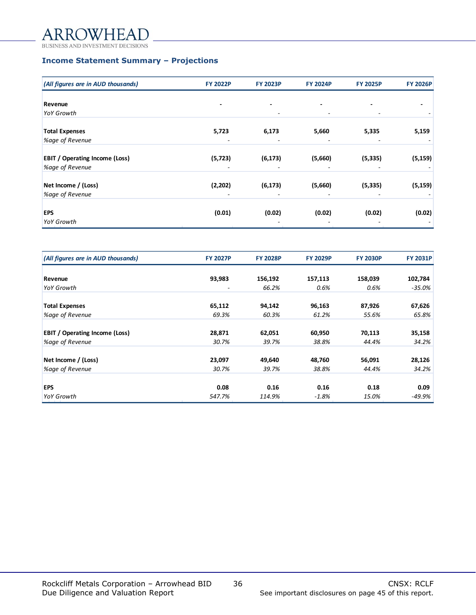#### AR  $FA$

**BUSINESS AND IN DECISIONS** 

## **Income Statement Summary – Projections**

| <b>FY 2022P</b> | <b>FY 2023P</b>               | <b>FY 2024P</b>                | <b>FY 2025P</b>              | <b>FY 2026P</b>                |
|-----------------|-------------------------------|--------------------------------|------------------------------|--------------------------------|
|                 |                               |                                |                              |                                |
|                 |                               |                                |                              |                                |
|                 | ٠                             | $\overline{\phantom{a}}$       |                              |                                |
|                 |                               |                                |                              |                                |
| 5,723           | 6,173                         | 5,660                          | 5,335                        | 5,159                          |
|                 |                               |                                |                              |                                |
|                 |                               |                                |                              | (5, 159)                       |
|                 | -                             |                                |                              |                                |
|                 |                               |                                |                              | (5, 159)                       |
|                 |                               |                                |                              |                                |
|                 |                               |                                |                              | (0.02)                         |
|                 |                               |                                |                              |                                |
|                 | (5, 723)<br>(2,202)<br>(0.01) | (6, 173)<br>(6, 173)<br>(0.02) | (5,660)<br>(5,660)<br>(0.02) | (5, 335)<br>(5, 335)<br>(0.02) |

| (All figures are in AUD thousands)    | <b>FY 2027P</b> | <b>FY 2028P</b> | <b>FY 2029P</b> | <b>FY 2030P</b> | <b>FY 2031P</b> |
|---------------------------------------|-----------------|-----------------|-----------------|-----------------|-----------------|
|                                       |                 |                 |                 |                 |                 |
| Revenue                               | 93,983          | 156,192         | 157,113         | 158,039         | 102,784         |
| YoY Growth                            |                 | 66.2%           | 0.6%            | 0.6%            | -35.0%          |
|                                       |                 |                 |                 |                 |                 |
| <b>Total Expenses</b>                 | 65,112          | 94,142          | 96,163          | 87,926          | 67,626          |
| %age of Revenue                       | 69.3%           | 60.3%           | 61.2%           | 55.6%           | 65.8%           |
|                                       |                 |                 |                 |                 |                 |
| <b>EBIT</b> / Operating Income (Loss) | 28,871          | 62,051          | 60,950          | 70,113          | 35,158          |
| %age of Revenue                       | 30.7%           | 39.7%           | 38.8%           | 44.4%           | 34.2%           |
|                                       |                 |                 |                 |                 |                 |
| Net Income / (Loss)                   | 23,097          | 49,640          | 48,760          | 56,091          | 28,126          |
| %age of Revenue                       | 30.7%           | 39.7%           | 38.8%           | 44.4%           | 34.2%           |
|                                       |                 |                 |                 |                 |                 |
| <b>EPS</b>                            | 0.08            | 0.16            | 0.16            | 0.18            | 0.09            |
| YoY Growth                            | 547.7%          | 114.9%          | $-1.8%$         | 15.0%           | -49.9%          |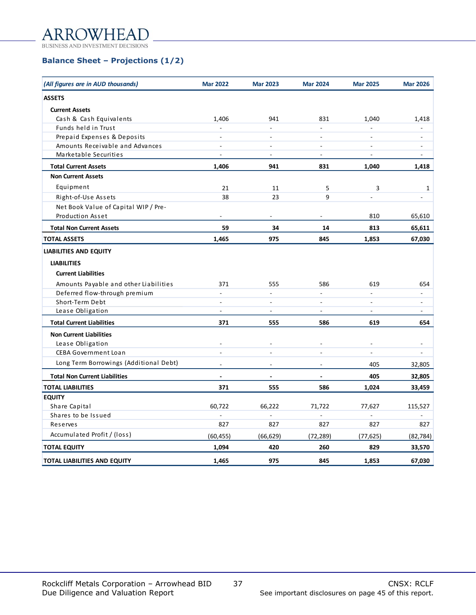#### AR  $FA$

**BUSINESS AND IN DECISIONS** 

## **Balance Sheet – Projections (1/2)**

| (All figures are in AUD thousands)     | <b>Mar 2022</b>          | <b>Mar 2023</b>          | <b>Mar 2024</b>          | <b>Mar 2025</b>          | <b>Mar 2026</b>          |
|----------------------------------------|--------------------------|--------------------------|--------------------------|--------------------------|--------------------------|
| <b>ASSETS</b>                          |                          |                          |                          |                          |                          |
| <b>Current Assets</b>                  |                          |                          |                          |                          |                          |
| Cash & Cash Equivalents                | 1,406                    | 941                      | 831                      | 1,040                    | 1,418                    |
| Funds held in Trust                    |                          |                          | $\overline{\phantom{0}}$ |                          |                          |
| Prepaid Expenses & Deposits            | $\overline{a}$           | ÷.                       | $\overline{a}$           | $\sim$                   | ÷.                       |
| Amounts Receivable and Advances        | $\overline{\phantom{a}}$ | $\overline{a}$           | ÷,                       | $\overline{a}$           | $\overline{\phantom{0}}$ |
| Marketable Securities                  | $\overline{a}$           | $\blacksquare$           | $\overline{a}$           | $\sim$                   | $\overline{a}$           |
| <b>Total Current Assets</b>            | 1,406                    | 941                      | 831                      | 1,040                    | 1,418                    |
| <b>Non Current Assets</b>              |                          |                          |                          |                          |                          |
| Equipment                              | 21                       | 11                       | 5                        | 3                        | $\mathbf{1}$             |
| Right-of-Use Assets                    | 38                       | 23                       | 9                        |                          | L.                       |
| Net Book Value of Capital WIP / Pre-   |                          |                          |                          |                          |                          |
| Production Asset                       |                          |                          |                          | 810                      | 65,610                   |
| <b>Total Non Current Assets</b>        | 59                       | 34                       | 14                       | 813                      | 65,611                   |
| <b>TOTAL ASSETS</b>                    | 1,465                    | 975                      | 845                      | 1,853                    | 67,030                   |
| <b>LIABILITIES AND EQUITY</b>          |                          |                          |                          |                          |                          |
| <b>LIABILITIES</b>                     |                          |                          |                          |                          |                          |
| <b>Current Liabilities</b>             |                          |                          |                          |                          |                          |
| Amounts Payable and other Liabilities  | 371                      | 555                      | 586                      | 619                      | 654                      |
| Deferred flow-through premium          | L.                       |                          |                          | $\overline{a}$           |                          |
| Short-Term Debt                        | $\overline{\phantom{a}}$ | $\overline{\phantom{a}}$ | $\overline{a}$           | $\overline{\phantom{a}}$ | $\blacksquare$           |
| Lease Obligation                       | $\overline{a}$           | $\overline{a}$           | $\overline{a}$           | $\mathbf{r}$             | ÷.                       |
| <b>Total Current Liabilities</b>       | 371                      | 555                      | 586                      | 619                      | 654                      |
| <b>Non Current Liabilities</b>         |                          |                          |                          |                          |                          |
| Lease Obligation                       | $\blacksquare$           |                          | $\overline{\phantom{a}}$ | $\overline{\phantom{a}}$ | $\overline{\phantom{a}}$ |
| <b>CEBA Government Loan</b>            | $\overline{a}$           | L.                       | ÷.                       | $\overline{a}$           | L.                       |
| Long Term Borrowings (Additional Debt) | $\overline{\phantom{a}}$ | ÷,                       | $\overline{a}$           | 405                      | 32,805                   |
| <b>Total Non Current Liabilities</b>   | $\overline{a}$           | $\blacksquare$           | $\overline{\phantom{a}}$ | 405                      | 32,805                   |
| <b>TOTAL LIABILITIES</b>               | 371                      | 555                      | 586                      | 1,024                    | 33,459                   |
| <b>EQUITY</b>                          |                          |                          |                          |                          |                          |
| Share Capital                          | 60,722                   | 66,222                   | 71,722                   | 77,627                   | 115,527                  |
| Shares to be Issued                    |                          |                          |                          | $\overline{a}$           |                          |
| Reserves                               | 827                      | 827                      | 827                      | 827                      | 827                      |
| Accumulated Profit / (loss)            | (60, 455)                | (66, 629)                | (72, 289)                | (77, 625)                | (82, 784)                |
| <b>TOTAL EQUITY</b>                    | 1,094                    | 420                      | 260                      | 829                      | 33,570                   |
| <b>TOTAL LIABILITIES AND EQUITY</b>    | 1,465                    | 975                      | 845                      | 1,853                    | 67,030                   |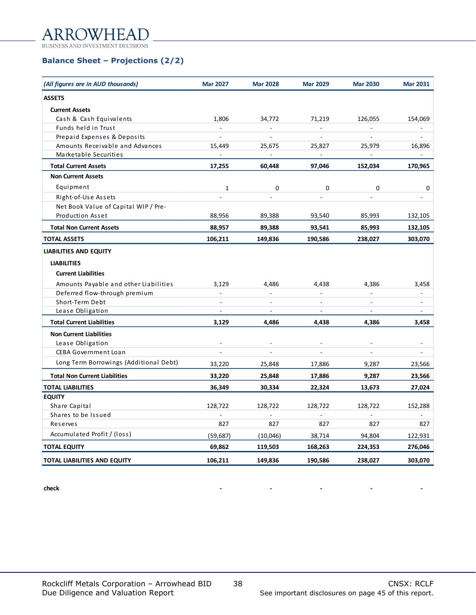#### AR FА

BUSINESS AND INVESTMENT DECISIONS

## **Balance Sheet – Projections (2/2)**

| (All figures are in AUD thousands)     | <b>Mar 2027</b>          | <b>Mar 2028</b>          | <b>Mar 2029</b>          | <b>Mar 2030</b> | <b>Mar 2031</b>          |
|----------------------------------------|--------------------------|--------------------------|--------------------------|-----------------|--------------------------|
| <b>ASSETS</b>                          |                          |                          |                          |                 |                          |
| <b>Current Assets</b>                  |                          |                          |                          |                 |                          |
| Cash & Cash Equivalents                | 1,806                    | 34,772                   | 71,219                   | 126,055         | 154,069                  |
| Funds held in Trust                    | $\overline{\phantom{a}}$ | $\blacksquare$           | $\overline{\phantom{a}}$ | $\blacksquare$  | $\overline{\phantom{a}}$ |
| Prepaid Expenses & Deposits            | $\overline{a}$           | $\sim$                   | $\overline{a}$           | $\overline{a}$  | ÷.                       |
| Amounts Receivable and Advances        | 15,449                   | 25,675                   | 25,827                   | 25,979          | 16,896                   |
| Marketable Securities                  | $\sim$                   | $\sim$                   | $\sim$                   | $\blacksquare$  |                          |
| <b>Total Current Assets</b>            | 17,255                   | 60,448                   | 97,046                   | 152,034         | 170,965                  |
| <b>Non Current Assets</b>              |                          |                          |                          |                 |                          |
| Equipment                              | $\mathbf 1$              | 0                        | 0                        | 0               | 0                        |
| Right-of-Use Assets                    |                          | $\overline{\phantom{a}}$ | $\overline{\phantom{a}}$ | ٠               | $\overline{\phantom{0}}$ |
| Net Book Value of Capital WIP / Pre-   |                          |                          |                          |                 |                          |
| <b>Production Asset</b>                | 88,956                   | 89,388                   | 93,540                   | 85,993          | 132,105                  |
| <b>Total Non Current Assets</b>        | 88,957                   | 89,388                   | 93,541                   | 85,993          | 132,105                  |
| <b>TOTAL ASSETS</b>                    | 106,211                  | 149,836                  | 190,586                  | 238,027         | 303,070                  |
| <b>LIABILITIES AND EQUITY</b>          |                          |                          |                          |                 |                          |
| <b>LIABILITIES</b>                     |                          |                          |                          |                 |                          |
| <b>Current Liabilities</b>             |                          |                          |                          |                 |                          |
| Amounts Payable and other Liabilities  | 3,129                    | 4,486                    | 4,438                    | 4,386           | 3,458                    |
| Deferred flow-through premium          |                          |                          |                          | $\blacksquare$  | $\overline{\phantom{a}}$ |
| Short-Term Debt                        | $\overline{a}$           | $\overline{\phantom{a}}$ | ÷.                       | $\Box$          | ÷,                       |
| Lease Obligation                       | $\overline{a}$           | $\overline{a}$           | ÷.                       | $\blacksquare$  | $\overline{\phantom{a}}$ |
| <b>Total Current Liabilities</b>       | 3,129                    | 4,486                    | 4,438                    | 4,386           | 3,458                    |
| <b>Non Current Liabilities</b>         |                          |                          |                          |                 |                          |
| Lease Obligation                       | $\overline{a}$           |                          | $\overline{a}$           | $\blacksquare$  | $\overline{\phantom{a}}$ |
| <b>CEBA Government Loan</b>            |                          |                          |                          |                 |                          |
| Long Term Borrowings (Additional Debt) | 33,220                   | 25,848                   | 17,886                   | 9,287           | 23,566                   |
| <b>Total Non Current Liabilities</b>   | 33,220                   | 25,848                   | 17,886                   | 9,287           | 23,566                   |
| <b>TOTAL LIABILITIES</b>               | 36,349                   | 30,334                   | 22,324                   | 13,673          | 27,024                   |
| <b>EQUITY</b>                          |                          |                          |                          |                 |                          |
| Share Capital                          | 128,722                  | 128,722                  | 128,722                  | 128,722         | 152,288                  |
| Shares to be Issued                    |                          |                          |                          |                 |                          |
| Reserves                               | 827                      | 827                      | 827                      | 827             | 827                      |
| Accumulated Profit / (loss)            | (59, 687)                | (10,046)                 | 38,714                   | 94,804          | 122,931                  |
| <b>TOTAL EQUITY</b>                    | 69,862                   | 119,503                  | 168,263                  | 224,353         | 276,046                  |
| <b>TOTAL LIABILITIES AND EQUITY</b>    | 106,211                  | 149,836                  | 190,586                  | 238,027         | 303,070                  |

**check - - - - -**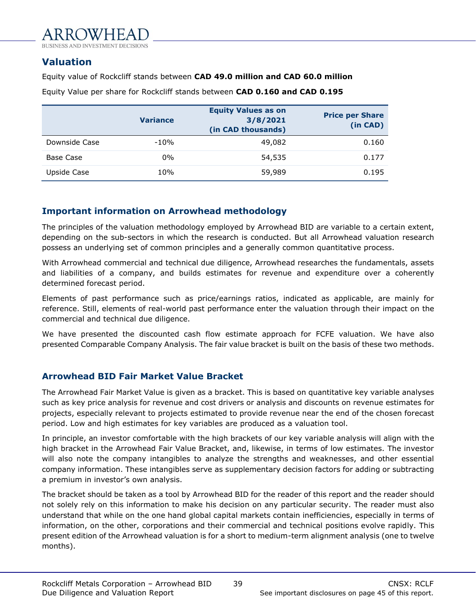<span id="page-38-0"></span>**Valuation**

Equity value of Rockcliff stands between **CAD 49.0 million and CAD 60.0 million**

|               | <b>Variance</b> | <b>Equity Values as on</b><br>3/8/2021<br>(in CAD thousands) | <b>Price per Share</b><br>(in CAD) |
|---------------|-----------------|--------------------------------------------------------------|------------------------------------|
| Downside Case | $-10%$          | 49,082                                                       | 0.160                              |
| Base Case     | $0\%$           | 54,535                                                       | 0.177                              |
| Upside Case   | 10%             | 59,989                                                       | 0.195                              |

Equity Value per share for Rockcliff stands between **CAD 0.160 and CAD 0.195**

## **Important information on Arrowhead methodology**

The principles of the valuation methodology employed by Arrowhead BID are variable to a certain extent, depending on the sub-sectors in which the research is conducted. But all Arrowhead valuation research possess an underlying set of common principles and a generally common quantitative process.

With Arrowhead commercial and technical due diligence, Arrowhead researches the fundamentals, assets and liabilities of a company, and builds estimates for revenue and expenditure over a coherently determined forecast period.

Elements of past performance such as price/earnings ratios, indicated as applicable, are mainly for reference. Still, elements of real-world past performance enter the valuation through their impact on the commercial and technical due diligence.

We have presented the discounted cash flow estimate approach for FCFE valuation. We have also presented Comparable Company Analysis. The fair value bracket is built on the basis of these two methods.

## **Arrowhead BID Fair Market Value Bracket**

The Arrowhead Fair Market Value is given as a bracket. This is based on quantitative key variable analyses such as key price analysis for revenue and cost drivers or analysis and discounts on revenue estimates for projects, especially relevant to projects estimated to provide revenue near the end of the chosen forecast period. Low and high estimates for key variables are produced as a valuation tool.

In principle, an investor comfortable with the high brackets of our key variable analysis will align with the high bracket in the Arrowhead Fair Value Bracket, and, likewise, in terms of low estimates. The investor will also note the company intangibles to analyze the strengths and weaknesses, and other essential company information. These intangibles serve as supplementary decision factors for adding or subtracting a premium in investor's own analysis.

The bracket should be taken as a tool by Arrowhead BID for the reader of this report and the reader should not solely rely on this information to make his decision on any particular security. The reader must also understand that while on the one hand global capital markets contain inefficiencies, especially in terms of information, on the other, corporations and their commercial and technical positions evolve rapidly. This present edition of the Arrowhead valuation is for a short to medium-term alignment analysis (one to twelve months).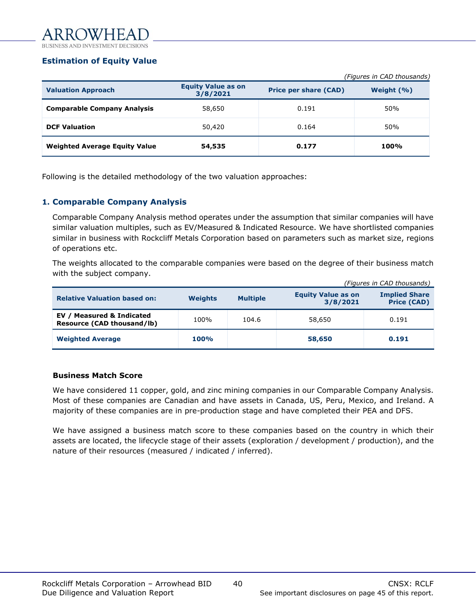## **Estimation of Equity Value**

|                                      |                                       |                              | (Figures in CAD thousands) |
|--------------------------------------|---------------------------------------|------------------------------|----------------------------|
| <b>Valuation Approach</b>            | <b>Equity Value as on</b><br>3/8/2021 | <b>Price per share (CAD)</b> | Weight $(% )$              |
| <b>Comparable Company Analysis</b>   | 58,650                                | 0.191                        | 50%                        |
| <b>DCF Valuation</b>                 | 50,420                                | 0.164                        | 50%                        |
| <b>Weighted Average Equity Value</b> | 54,535                                | 0.177                        | 100%                       |

Following is the detailed methodology of the two valuation approaches:

## **1. Comparable Company Analysis**

Comparable Company Analysis method operates under the assumption that similar companies will have similar valuation multiples, such as EV/Measured & Indicated Resource. We have shortlisted companies similar in business with Rockcliff Metals Corporation based on parameters such as market size, regions of operations etc.

The weights allocated to the comparable companies were based on the degree of their business match with the subject company.

|                                                         |                |                 | (Figures in CAD thousands)            |                                            |  |
|---------------------------------------------------------|----------------|-----------------|---------------------------------------|--------------------------------------------|--|
| <b>Relative Valuation based on:</b>                     | <b>Weights</b> | <b>Multiple</b> | <b>Equity Value as on</b><br>3/8/2021 | <b>Implied Share</b><br><b>Price (CAD)</b> |  |
| EV / Measured & Indicated<br>Resource (CAD thousand/lb) | 100%           | 104.6           | 58,650                                | 0.191                                      |  |
| <b>Weighted Average</b>                                 | <b>100%</b>    |                 | 58,650                                | 0.191                                      |  |

## **Business Match Score**

We have considered 11 copper, gold, and zinc mining companies in our Comparable Company Analysis. Most of these companies are Canadian and have assets in Canada, US, Peru, Mexico, and Ireland. A majority of these companies are in pre-production stage and have completed their PEA and DFS.

We have assigned a business match score to these companies based on the country in which their assets are located, the lifecycle stage of their assets (exploration / development / production), and the nature of their resources (measured / indicated / inferred).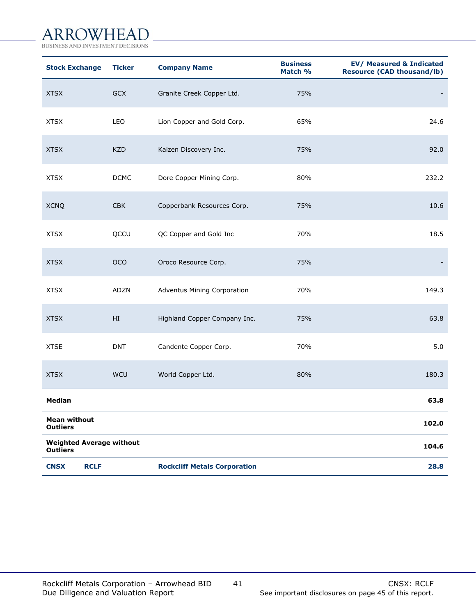# ARROWHEAD

BUSINESS AND INVESTMENT DECISIONS

| <b>Stock Exchange</b>                              | <b>Ticker</b> | <b>Company Name</b>                 | <b>Business</b><br>Match % | <b>EV/ Measured &amp; Indicated</b><br><b>Resource (CAD thousand/lb)</b> |
|----------------------------------------------------|---------------|-------------------------------------|----------------------------|--------------------------------------------------------------------------|
| <b>XTSX</b>                                        | GCX           | Granite Creek Copper Ltd.           | 75%                        |                                                                          |
| <b>XTSX</b>                                        | LEO           | Lion Copper and Gold Corp.          | 65%                        | 24.6                                                                     |
| <b>XTSX</b>                                        | <b>KZD</b>    | Kaizen Discovery Inc.               | 75%                        | 92.0                                                                     |
| <b>XTSX</b>                                        | <b>DCMC</b>   | Dore Copper Mining Corp.            | 80%                        | 232.2                                                                    |
| <b>XCNQ</b>                                        | <b>CBK</b>    | Copperbank Resources Corp.          | 75%                        | 10.6                                                                     |
| <b>XTSX</b>                                        | QCCU          | QC Copper and Gold Inc              | 70%                        | 18.5                                                                     |
| <b>XTSX</b>                                        | OCO           | Oroco Resource Corp.                | 75%                        |                                                                          |
| <b>XTSX</b>                                        | <b>ADZN</b>   | Adventus Mining Corporation         | 70%                        | 149.3                                                                    |
| <b>XTSX</b>                                        | HI            | Highland Copper Company Inc.        | 75%                        | 63.8                                                                     |
| <b>XTSE</b>                                        | <b>DNT</b>    | Candente Copper Corp.               | 70%                        | 5.0                                                                      |
| <b>XTSX</b>                                        | WCU           | World Copper Ltd.                   | 80%                        | 180.3                                                                    |
| <b>Median</b>                                      |               |                                     |                            | 63.8                                                                     |
| <b>Mean without</b><br><b>Outliers</b>             |               |                                     |                            | 102.0                                                                    |
| <b>Weighted Average without</b><br><b>Outliers</b> |               |                                     |                            | 104.6                                                                    |
| <b>CNSX</b><br><b>RCLF</b>                         |               | <b>Rockcliff Metals Corporation</b> |                            | 28.8                                                                     |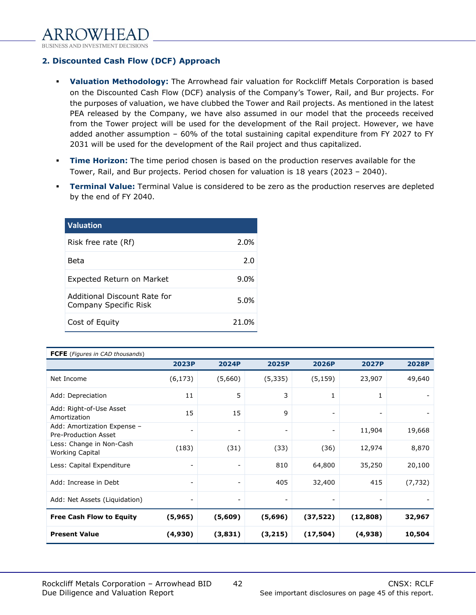**2. Discounted Cash Flow (DCF) Approach**

- **Valuation Methodology:** The Arrowhead fair valuation for Rockcliff Metals Corporation is based on the Discounted Cash Flow (DCF) analysis of the Company's Tower, Rail, and Bur projects. For the purposes of valuation, we have clubbed the Tower and Rail projects. As mentioned in the latest PEA released by the Company, we have also assumed in our model that the proceeds received from the Tower project will be used for the development of the Rail project. However, we have added another assumption – 60% of the total sustaining capital expenditure from FY 2027 to FY 2031 will be used for the development of the Rail project and thus capitalized.
- **Time Horizon:** The time period chosen is based on the production reserves available for the Tower, Rail, and Bur projects. Period chosen for valuation is 18 years (2023 – 2040).
- **Terminal Value:** Terminal Value is considered to be zero as the production reserves are depleted by the end of FY 2040.

| <b>Valuation</b>                                      |       |
|-------------------------------------------------------|-------|
| Risk free rate (Rf)                                   | 2.0%  |
| Beta                                                  | 2.0   |
| Expected Return on Market                             | 9.0%  |
| Additional Discount Rate for<br>Company Specific Risk | 5.0%  |
| Cost of Equity                                        | 21.0% |

| <b>FCFE</b> (Figures in CAD thousands)              |                          |                          |                              |                          |                          |              |
|-----------------------------------------------------|--------------------------|--------------------------|------------------------------|--------------------------|--------------------------|--------------|
|                                                     | 2023P                    | <b>2024P</b>             | <b>2025P</b>                 | <b>2026P</b>             | <b>2027P</b>             | <b>2028P</b> |
| Net Income                                          | (6, 173)                 | (5,660)                  | (5, 335)                     | (5, 159)                 | 23,907                   | 49,640       |
| Add: Depreciation                                   | 11                       | 5                        | 3                            | 1                        | 1                        |              |
| Add: Right-of-Use Asset<br>Amortization             | 15                       | 15                       | 9                            | $\overline{\phantom{a}}$ | $\overline{\phantom{a}}$ |              |
| Add: Amortization Expense -<br>Pre-Production Asset | $\blacksquare$           | $\overline{\phantom{0}}$ | $\overline{\phantom{a}}$     | $\overline{\phantom{a}}$ | 11,904                   | 19,668       |
| Less: Change in Non-Cash<br><b>Working Capital</b>  | (183)                    | (31)                     | (33)                         | (36)                     | 12,974                   | 8,870        |
| Less: Capital Expenditure                           | $\overline{\phantom{a}}$ | $\overline{\phantom{a}}$ | 810                          | 64,800                   | 35,250                   | 20,100       |
| Add: Increase in Debt                               | $\overline{\phantom{a}}$ | $\overline{\phantom{a}}$ | 405                          | 32,400                   | 415                      | (7, 732)     |
| Add: Net Assets (Liquidation)                       | -                        | -                        | $\qquad \qquad \blacksquare$ |                          | $\overline{\phantom{a}}$ |              |
| <b>Free Cash Flow to Equity</b>                     | (5,965)                  | (5,609)                  | (5,696)                      | (37, 522)                | (12, 808)                | 32,967       |
| <b>Present Value</b>                                | (4,930)                  | (3,831)                  | (3,215)                      | (17, 504)                | (4,938)                  | 10,504       |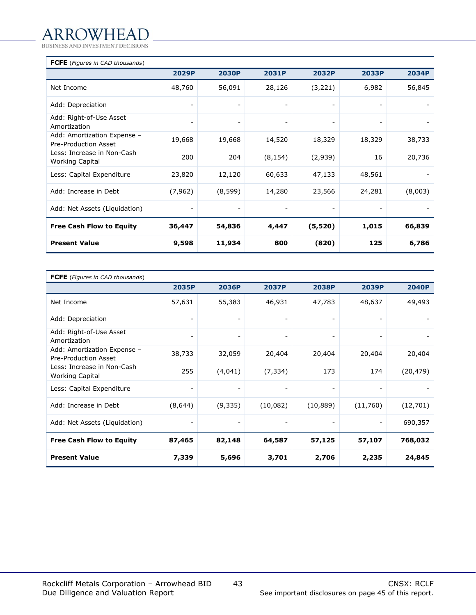# ARROWHEAD

BUSINESS AND INVESTMENT DECISIONS

| <b>FCFE</b> (Figures in CAD thousands)              |                          |                          |                          |                          |                |         |
|-----------------------------------------------------|--------------------------|--------------------------|--------------------------|--------------------------|----------------|---------|
|                                                     | 2029P                    | <b>2030P</b>             | 2031P                    | 2032P                    | 2033P          | 2034P   |
| Net Income                                          | 48,760                   | 56,091                   | 28,126                   | (3,221)                  | 6,982          | 56,845  |
| Add: Depreciation                                   | $\overline{a}$           |                          | -                        |                          |                |         |
| Add: Right-of-Use Asset<br>Amortization             | $\overline{\phantom{a}}$ | $\overline{\phantom{a}}$ | $\overline{\phantom{a}}$ | $\overline{\phantom{a}}$ | $\overline{a}$ |         |
| Add: Amortization Expense -<br>Pre-Production Asset | 19,668                   | 19,668                   | 14,520                   | 18,329                   | 18,329         | 38,733  |
| Less: Increase in Non-Cash<br>Working Capital       | 200                      | 204                      | (8, 154)                 | (2,939)                  | 16             | 20,736  |
| Less: Capital Expenditure                           | 23,820                   | 12,120                   | 60,633                   | 47,133                   | 48,561         |         |
| Add: Increase in Debt                               | (7, 962)                 | (8, 599)                 | 14,280                   | 23,566                   | 24,281         | (8,003) |
| Add: Net Assets (Liquidation)                       | $\overline{a}$           |                          |                          |                          |                |         |
| <b>Free Cash Flow to Equity</b>                     | 36,447                   | 54,836                   | 4,447                    | (5,520)                  | 1,015          | 66,839  |
| <b>Present Value</b>                                | 9,598                    | 11,934                   | 800                      | (820)                    | 125            | 6,786   |

| <b>FCFE</b> (Figures in CAD thousands)               |                          |                          |                          |                |          |              |
|------------------------------------------------------|--------------------------|--------------------------|--------------------------|----------------|----------|--------------|
|                                                      | 2035P                    | 2036P                    | <b>2037P</b>             | <b>2038P</b>   | 2039P    | <b>2040P</b> |
| Net Income                                           | 57,631                   | 55,383                   | 46,931                   | 47,783         | 48,637   | 49,493       |
| Add: Depreciation                                    | $\overline{\phantom{a}}$ | $\overline{a}$           | $\overline{\phantom{a}}$ |                |          |              |
| Add: Right-of-Use Asset<br>Amortization              | $\overline{\phantom{a}}$ | $\overline{\phantom{a}}$ | $\overline{\phantom{a}}$ | $\overline{a}$ |          |              |
| Add: Amortization Expense -<br>Pre-Production Asset  | 38,733                   | 32,059                   | 20,404                   | 20,404         | 20,404   | 20,404       |
| Less: Increase in Non-Cash<br><b>Working Capital</b> | 255                      | (4,041)                  | (7, 334)                 | 173            | 174      | (20, 479)    |
| Less: Capital Expenditure                            | $\overline{\phantom{a}}$ | $\overline{a}$           | -                        | $\overline{a}$ |          |              |
| Add: Increase in Debt                                | (8,644)                  | (9,335)                  | (10,082)                 | (10, 889)      | (11,760) | (12,701)     |
| Add: Net Assets (Liquidation)                        | -                        |                          |                          |                |          | 690,357      |
| <b>Free Cash Flow to Equity</b>                      | 87,465                   | 82,148                   | 64,587                   | 57,125         | 57,107   | 768,032      |
| <b>Present Value</b>                                 | 7,339                    | 5,696                    | 3,701                    | 2,706          | 2,235    | 24,845       |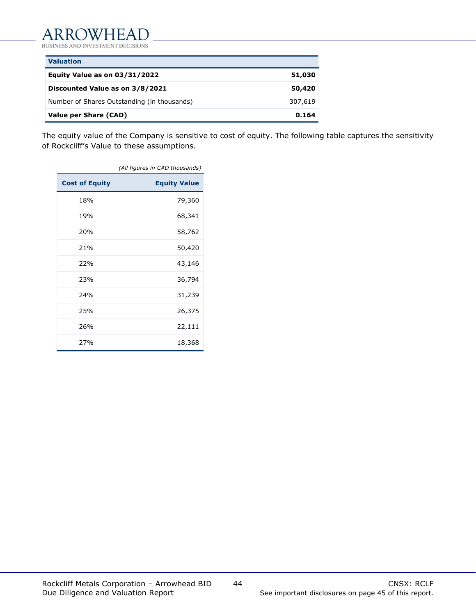BUSINESS AND INVESTMENT DECISIONS

| <b>Valuation</b>                            |         |
|---------------------------------------------|---------|
| Equity Value as on 03/31/2022               | 51,030  |
| Discounted Value as on 3/8/2021             | 50,420  |
| Number of Shares Outstanding (in thousands) | 307,619 |
| Value per Share (CAD)                       | 0.164   |

The equity value of the Company is sensitive to cost of equity. The following table captures the sensitivity of Rockcliff's Value to these assumptions.

|                       | (All figures in CAD thousands) |
|-----------------------|--------------------------------|
| <b>Cost of Equity</b> | <b>Equity Value</b>            |
| 18%                   | 79,360                         |
| 19%                   | 68,341                         |
| 20%                   | 58,762                         |
| 21%                   | 50,420                         |
| 22%                   | 43,146                         |
| 23%                   | 36,794                         |
| 24%                   | 31,239                         |
| 25%                   | 26,375                         |
| 26%                   | 22,111                         |
| 27%                   | 18,368                         |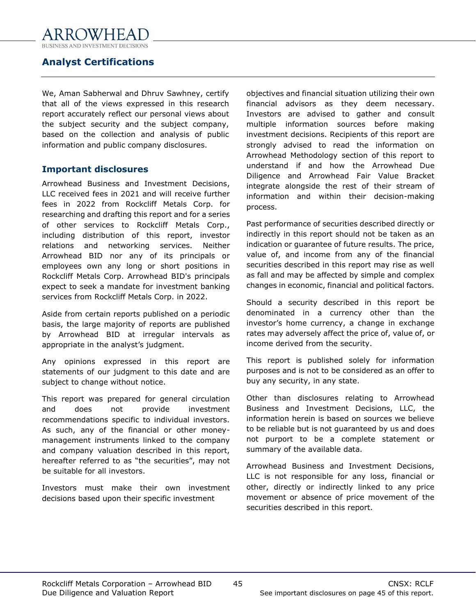## <span id="page-44-0"></span>**Analyst Certifications**

We, Aman Sabherwal and Dhruv Sawhney, certify that all of the views expressed in this research report accurately reflect our personal views about the subject security and the subject company, based on the collection and analysis of public information and public company disclosures.

## **Important disclosures**

Arrowhead Business and Investment Decisions, LLC received fees in 2021 and will receive further fees in 2022 from Rockcliff Metals Corp. for researching and drafting this report and for a series of other services to Rockcliff Metals Corp., including distribution of this report, investor relations and networking services. Neither Arrowhead BID nor any of its principals or employees own any long or short positions in Rockcliff Metals Corp. Arrowhead BID's principals expect to seek a mandate for investment banking services from Rockcliff Metals Corp. in 2022.

Aside from certain reports published on a periodic basis, the large majority of reports are published by Arrowhead BID at irregular intervals as appropriate in the analyst's judgment.

Any opinions expressed in this report are statements of our judgment to this date and are subject to change without notice.

This report was prepared for general circulation and does not provide investment recommendations specific to individual investors. As such, any of the financial or other moneymanagement instruments linked to the company and company valuation described in this report, hereafter referred to as "the securities", may not be suitable for all investors.

Investors must make their own investment decisions based upon their specific investment

objectives and financial situation utilizing their own financial advisors as they deem necessary. Investors are advised to gather and consult multiple information sources before making investment decisions. Recipients of this report are strongly advised to read the information on Arrowhead Methodology section of this report to understand if and how the Arrowhead Due Diligence and Arrowhead Fair Value Bracket integrate alongside the rest of their stream of information and within their decision-making process.

Past performance of securities described directly or indirectly in this report should not be taken as an indication or guarantee of future results. The price, value of, and income from any of the financial securities described in this report may rise as well as fall and may be affected by simple and complex changes in economic, financial and political factors.

Should a security described in this report be denominated in a currency other than the investor's home currency, a change in exchange rates may adversely affect the price of, value of, or income derived from the security.

This report is published solely for information purposes and is not to be considered as an offer to buy any security, in any state.

Other than disclosures relating to Arrowhead Business and Investment Decisions, LLC, the information herein is based on sources we believe to be reliable but is not guaranteed by us and does not purport to be a complete statement or summary of the available data.

Arrowhead Business and Investment Decisions, LLC is not responsible for any loss, financial or other, directly or indirectly linked to any price movement or absence of price movement of the securities described in this report.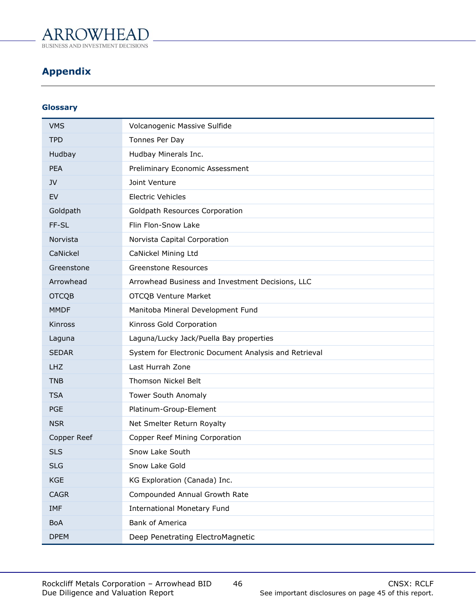## **WHEAT ARRC**

**BUSINESS AND INVES MENT DECISIONS** 

## <span id="page-45-0"></span>**Appendix**

## **Glossary**

| <b>VMS</b>   | Volcanogenic Massive Sulfide                          |
|--------------|-------------------------------------------------------|
| <b>TPD</b>   | Tonnes Per Day                                        |
| Hudbay       | Hudbay Minerals Inc.                                  |
| <b>PEA</b>   | Preliminary Economic Assessment                       |
| <b>JV</b>    | Joint Venture                                         |
| EV           | <b>Electric Vehicles</b>                              |
| Goldpath     | Goldpath Resources Corporation                        |
| FF-SL        | Flin Flon-Snow Lake                                   |
| Norvista     | Norvista Capital Corporation                          |
| CaNickel     | CaNickel Mining Ltd                                   |
| Greenstone   | <b>Greenstone Resources</b>                           |
| Arrowhead    | Arrowhead Business and Investment Decisions, LLC      |
| <b>OTCQB</b> | <b>OTCQB Venture Market</b>                           |
| <b>MMDF</b>  | Manitoba Mineral Development Fund                     |
| Kinross      | Kinross Gold Corporation                              |
| Laguna       | Laguna/Lucky Jack/Puella Bay properties               |
| <b>SEDAR</b> | System for Electronic Document Analysis and Retrieval |
| <b>LHZ</b>   | Last Hurrah Zone                                      |
| <b>TNB</b>   | Thomson Nickel Belt                                   |
| <b>TSA</b>   | Tower South Anomaly                                   |
| <b>PGE</b>   | Platinum-Group-Element                                |
| <b>NSR</b>   | Net Smelter Return Royalty                            |
| Copper Reef  | Copper Reef Mining Corporation                        |
| <b>SLS</b>   | Snow Lake South                                       |
| <b>SLG</b>   | Snow Lake Gold                                        |
| <b>KGE</b>   | KG Exploration (Canada) Inc.                          |
| <b>CAGR</b>  | Compounded Annual Growth Rate                         |
| IMF          | <b>International Monetary Fund</b>                    |
| <b>BoA</b>   | <b>Bank of America</b>                                |
| <b>DPEM</b>  | Deep Penetrating ElectroMagnetic                      |